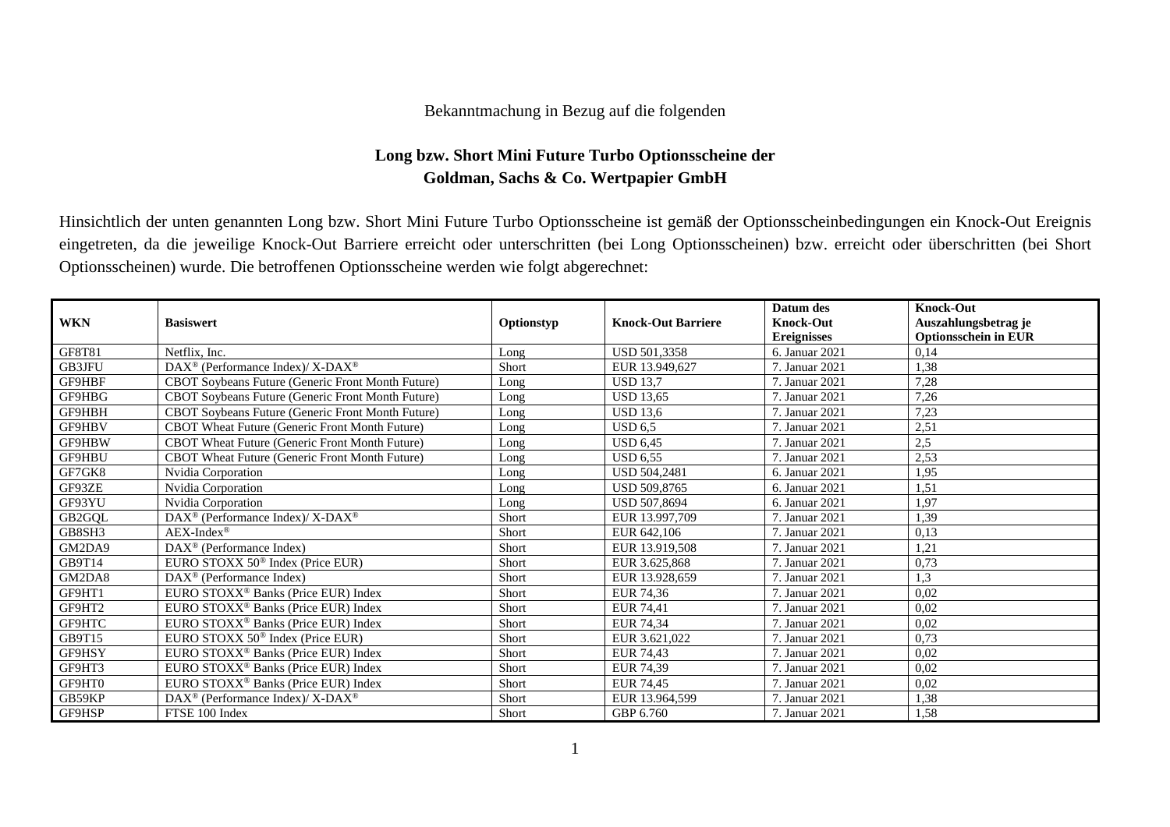## Bekanntmachung in Bezug auf die folgenden

## **Long bzw. Short Mini Future Turbo Optionsscheine der Goldman, Sachs & Co. Wertpapier GmbH**

Hinsichtlich der unten genannten Long bzw. Short Mini Future Turbo Optionsscheine ist gemäß der Optionsscheinbedingungen ein Knock-Out Ereignis eingetreten, da die jeweilige Knock-Out Barriere erreicht oder unterschritten (bei Long Optionsscheinen) bzw. erreicht oder überschritten (bei Short Optionsscheinen) wurde. Die betroffenen Optionsscheine werden wie folgt abgerechnet:

|               |                                                             |            |                           | Datum des          | <b>Knock-Out</b>            |
|---------------|-------------------------------------------------------------|------------|---------------------------|--------------------|-----------------------------|
| <b>WKN</b>    | <b>Basiswert</b>                                            | Optionstyp | <b>Knock-Out Barriere</b> | <b>Knock-Out</b>   | Auszahlungsbetrag je        |
|               |                                                             |            |                           | <b>Ereignisses</b> | <b>Optionsschein in EUR</b> |
| GF8T81        | Netflix, Inc.                                               | Long       | USD 501,3358              | 6. Januar 2021     | 0,14                        |
| <b>GB3JFU</b> | $DAX^{\circledast}$ (Performance Index)/X-DAX <sup>®</sup>  | Short      | EUR 13.949.627            | 7. Januar 2021     | 1,38                        |
| <b>GF9HBF</b> | CBOT Soybeans Future (Generic Front Month Future)           | Long       | <b>USD 13.7</b>           | 7. Januar 2021     | 7,28                        |
| GF9HBG        | <b>CBOT Sovbeans Future (Generic Front Month Future)</b>    | Long       | <b>USD 13.65</b>          | 7. Januar 2021     | 7,26                        |
| GF9HBH        | CBOT Soybeans Future (Generic Front Month Future)           | Long       | <b>USD 13,6</b>           | 7. Januar 2021     | 7,23                        |
| <b>GF9HBV</b> | CBOT Wheat Future (Generic Front Month Future)              | Long       | <b>USD 6.5</b>            | 7. Januar 2021     | 2,51                        |
| GF9HBW        | CBOT Wheat Future (Generic Front Month Future)              | Long       | <b>USD 6.45</b>           | 7. Januar 2021     | 2,5                         |
| GF9HBU        | CBOT Wheat Future (Generic Front Month Future)              | Long       | <b>USD 6,55</b>           | 7. Januar 2021     | 2,53                        |
| GF7GK8        | Nvidia Corporation                                          | Long       | <b>USD 504.2481</b>       | 6. Januar 2021     | 1,95                        |
| GF93ZE        | Nvidia Corporation                                          | Long       | <b>USD 509.8765</b>       | 6. Januar 2021     | 1,51                        |
| GF93YU        | Nvidia Corporation                                          | Long       | USD 507,8694              | 6. Januar 2021     | 1,97                        |
| GB2GQL        | DAX <sup>®</sup> (Performance Index)/ X-DAX <sup>®</sup>    | Short      | EUR 13.997.709            | 7. Januar 2021     | 1,39                        |
| GB8SH3        | $AEX-Index^{\circledR}$                                     | Short      | EUR 642,106               | 7. Januar 2021     | 0,13                        |
| GM2DA9        | DAX <sup>®</sup> (Performance Index)                        | Short      | EUR 13.919,508            | 7. Januar 2021     | 1,21                        |
| GB9T14        | EURO STOXX 50 <sup>®</sup> Index (Price EUR)                | Short      | EUR 3.625,868             | 7. Januar 2021     | 0,73                        |
| GM2DA8        | $DAX^{\circledcirc}$ (Performance Index)                    | Short      | EUR 13.928,659            | 7. Januar 2021     | 1.3                         |
| GF9HT1        | EURO STOXX <sup>®</sup> Banks (Price EUR) Index             | Short      | EUR 74,36                 | 7. Januar 2021     | 0,02                        |
| GF9HT2        | EURO STOXX <sup>®</sup> Banks (Price EUR) Index             | Short      | EUR 74,41                 | 7. Januar 2021     | 0,02                        |
| GF9HTC        | EURO STOXX <sup>®</sup> Banks (Price EUR) Index             | Short      | EUR 74.34                 | 7. Januar 2021     | 0,02                        |
| GB9T15        | EURO STOXX 50 <sup>®</sup> Index (Price EUR)                | Short      | EUR 3.621,022             | 7. Januar 2021     | 0,73                        |
| GF9HSY        | EURO STOXX <sup>®</sup> Banks (Price EUR) Index             | Short      | EUR 74,43                 | 7. Januar 2021     | 0,02                        |
| GF9HT3        | EURO STOXX <sup>®</sup> Banks (Price EUR) Index             | Short      | EUR 74.39                 | 7. Januar 2021     | 0,02                        |
| GF9HT0        | EURO STOXX <sup>®</sup> Banks (Price EUR) Index             | Short      | EUR 74,45                 | 7. Januar 2021     | 0,02                        |
| GB59KP        | $DAX^{\circledcirc}$ (Performance Index)/X-DAX <sup>®</sup> | Short      | EUR 13.964,599            | 7. Januar 2021     | 1,38                        |
| GF9HSP        | FTSE 100 Index                                              | Short      | GBP 6.760                 | 7. Januar 2021     | 1,58                        |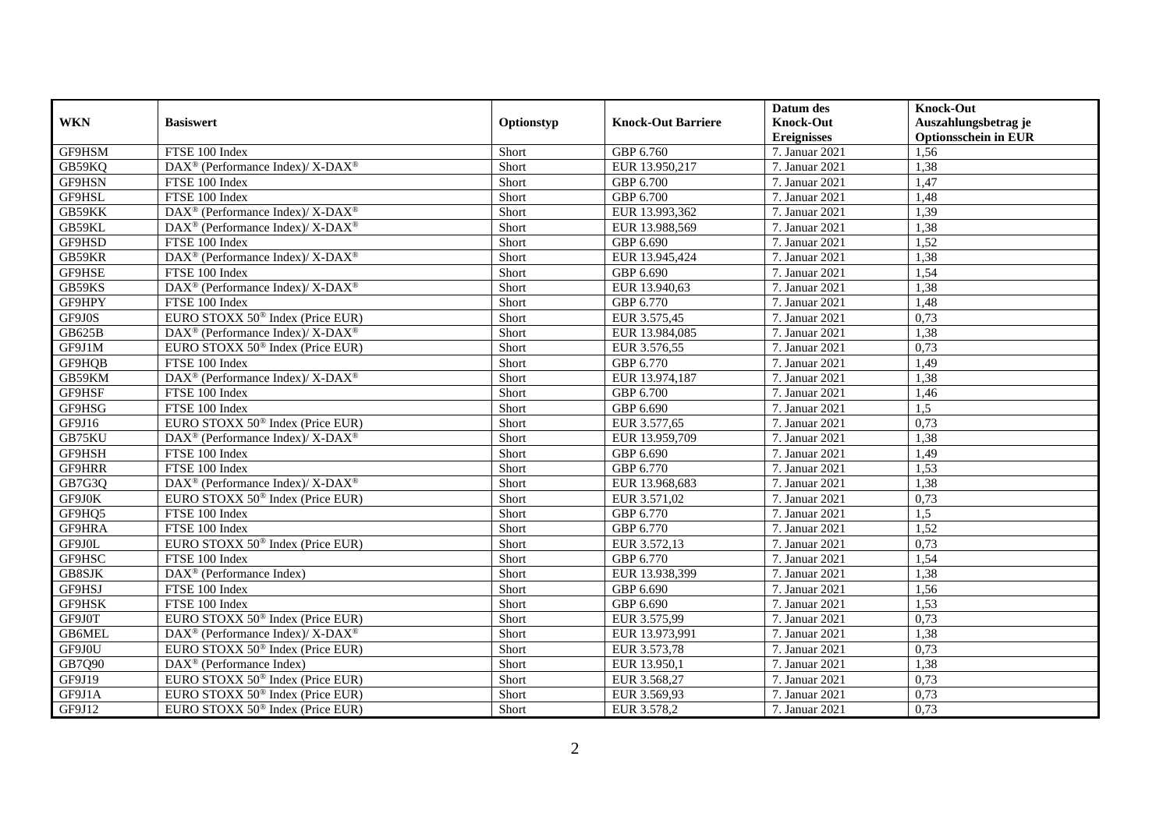|            |                                                          |            |                           | Datum des          | <b>Knock-Out</b>            |
|------------|----------------------------------------------------------|------------|---------------------------|--------------------|-----------------------------|
| <b>WKN</b> | <b>Basiswert</b>                                         | Optionstyp | <b>Knock-Out Barriere</b> | <b>Knock-Out</b>   | Auszahlungsbetrag je        |
|            |                                                          |            |                           | <b>Ereignisses</b> | <b>Optionsschein in EUR</b> |
| GF9HSM     | FTSE 100 Index                                           | Short      | GBP 6.760                 | 7. Januar 2021     | 1,56                        |
| GB59KO     | DAX <sup>®</sup> (Performance Index)/ X-DAX <sup>®</sup> | Short      | EUR 13.950,217            | 7. Januar 2021     | 1,38                        |
| GF9HSN     | FTSE 100 Index                                           | Short      | GBP 6.700                 | 7. Januar 2021     | 1,47                        |
| GF9HSL     | FTSE 100 Index                                           | Short      | GBP 6.700                 | 7. Januar 2021     | 1,48                        |
| GB59KK     | DAX <sup>®</sup> (Performance Index)/ X-DAX <sup>®</sup> | Short      | EUR 13.993,362            | 7. Januar 2021     | 1,39                        |
| GB59KL     | DAX <sup>®</sup> (Performance Index)/ X-DAX <sup>®</sup> | Short      | EUR 13.988,569            | 7. Januar 2021     | 1,38                        |
| GF9HSD     | FTSE 100 Index                                           | Short      | GBP 6.690                 | 7. Januar 2021     | 1,52                        |
| GB59KR     | DAX <sup>®</sup> (Performance Index)/X-DAX <sup>®</sup>  | Short      | EUR 13.945,424            | 7. Januar 2021     | 1,38                        |
| GF9HSE     | FTSE 100 Index                                           | Short      | GBP 6.690                 | 7. Januar 2021     | 1,54                        |
| GB59KS     | DAX <sup>®</sup> (Performance Index)/ X-DAX <sup>®</sup> | Short      | EUR 13.940,63             | 7. Januar 2021     | 1,38                        |
| GF9HPY     | FTSE 100 Index                                           | Short      | GBP 6.770                 | 7. Januar 2021     | 1,48                        |
| GF9J0S     | EURO STOXX 50 <sup>®</sup> Index (Price EUR)             | Short      | EUR 3.575,45              | 7. Januar 2021     | 0,73                        |
| GB625B     | DAX <sup>®</sup> (Performance Index)/ X-DAX <sup>®</sup> | Short      | EUR 13.984,085            | 7. Januar 2021     | 1,38                        |
| GF9J1M     | EURO STOXX $50^{\circ}$ Index (Price EUR)                | Short      | EUR 3.576,55              | 7. Januar 2021     | 0,73                        |
| GF9HQB     | FTSE 100 Index                                           | Short      | GBP 6.770                 | 7. Januar 2021     | 1,49                        |
| GB59KM     | DAX <sup>®</sup> (Performance Index)/X-DAX <sup>®</sup>  | Short      | EUR 13.974,187            | 7. Januar 2021     | 1,38                        |
| GF9HSF     | FTSE 100 Index                                           | Short      | GBP 6.700                 | 7. Januar 2021     | 1,46                        |
| GF9HSG     | FTSE 100 Index                                           | Short      | GBP 6.690                 | 7. Januar 2021     | 1.5                         |
| GF9J16     | EURO STOXX 50 <sup>®</sup> Index (Price EUR)             | Short      | EUR 3.577,65              | 7. Januar 2021     | 0,73                        |
| GB75KU     | DAX <sup>®</sup> (Performance Index)/ X-DAX <sup>®</sup> | Short      | EUR 13.959,709            | 7. Januar 2021     | 1,38                        |
| GF9HSH     | FTSE 100 Index                                           | Short      | GBP 6.690                 | 7. Januar 2021     | 1,49                        |
| GF9HRR     | FTSE 100 Index                                           | Short      | GBP 6.770                 | 7. Januar 2021     | 1,53                        |
| GB7G3Q     | DAX <sup>®</sup> (Performance Index)/ X-DAX <sup>®</sup> | Short      | EUR 13.968,683            | 7. Januar 2021     | 1,38                        |
| GF9J0K     | EURO STOXX 50 <sup>®</sup> Index (Price EUR)             | Short      | EUR 3.571,02              | 7. Januar 2021     | 0,73                        |
| GF9HQ5     | FTSE 100 Index                                           | Short      | GBP 6.770                 | 7. Januar 2021     | 1,5                         |
| GF9HRA     | FTSE 100 Index                                           | Short      | GBP 6.770                 | 7. Januar 2021     | 1,52                        |
| GF9J0L     | EURO STOXX 50 <sup>®</sup> Index (Price EUR)             | Short      | EUR 3.572,13              | 7. Januar 2021     | 0,73                        |
| GF9HSC     | FTSE 100 Index                                           | Short      | GBP 6.770                 | 7. Januar 2021     | 1,54                        |
| GB8SJK     | $\overline{\text{DAX}^{\otimes}}$ (Performance Index)    | Short      | EUR 13.938,399            | 7. Januar 2021     | 1,38                        |
| GF9HSJ     | FTSE 100 Index                                           | Short      | GBP 6.690                 | 7. Januar 2021     | 1,56                        |
| GF9HSK     | FTSE 100 Index                                           | Short      | GBP 6.690                 | 7. Januar 2021     | 1,53                        |
| GF9J0T     | EURO STOXX 50 <sup>®</sup> Index (Price EUR)             | Short      | EUR 3.575,99              | 7. Januar 2021     | 0,73                        |
| GB6MEL     | DAX <sup>®</sup> (Performance Index)/ X-DAX <sup>®</sup> | Short      | EUR 13.973,991            | 7. Januar 2021     | 1,38                        |
| GF9J0U     | EURO STOXX 50 <sup>®</sup> Index (Price EUR)             | Short      | EUR 3.573,78              | 7. Januar 2021     | 0,73                        |
| GB7Q90     | DAX <sup>®</sup> (Performance Index)                     | Short      | EUR 13.950,1              | 7. Januar 2021     | 1,38                        |
| GF9J19     | EURO STOXX 50 <sup>®</sup> Index (Price EUR)             | Short      | EUR 3.568,27              | 7. Januar 2021     | 0,73                        |
| GF9J1A     | EURO STOXX 50 <sup>®</sup> Index (Price EUR)             | Short      | EUR 3.569,93              | 7. Januar 2021     | 0,73                        |
| GF9J12     | EURO STOXX 50 <sup>®</sup> Index (Price EUR)             | Short      | EUR 3.578,2               | 7. Januar 2021     | 0,73                        |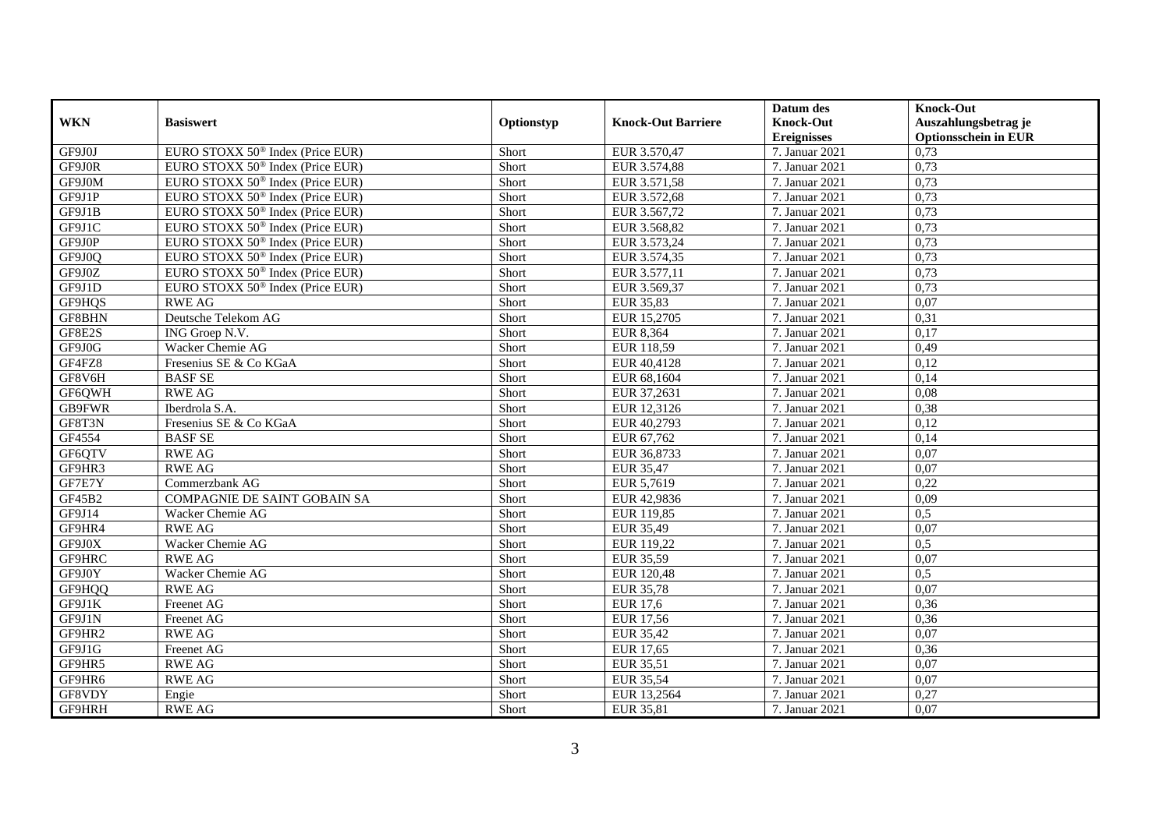|               |                                              |            |                           | Datum des          | <b>Knock-Out</b>            |
|---------------|----------------------------------------------|------------|---------------------------|--------------------|-----------------------------|
| <b>WKN</b>    | <b>Basiswert</b>                             | Optionstyp | <b>Knock-Out Barriere</b> | <b>Knock-Out</b>   | Auszahlungsbetrag je        |
|               |                                              |            |                           | <b>Ereignisses</b> | <b>Optionsschein in EUR</b> |
| GF9J0J        | EURO STOXX 50 <sup>®</sup> Index (Price EUR) | Short      | EUR 3.570,47              | 7. Januar 2021     | 0,73                        |
| GF9J0R        | EURO STOXX 50 <sup>®</sup> Index (Price EUR) | Short      | EUR 3.574,88              | 7. Januar 2021     | 0,73                        |
| GF9J0M        | EURO STOXX 50 <sup>®</sup> Index (Price EUR) | Short      | EUR 3.571,58              | 7. Januar 2021     | 0,73                        |
| GF9J1P        | EURO STOXX 50 <sup>®</sup> Index (Price EUR) | Short      | EUR 3.572,68              | 7. Januar 2021     | 0,73                        |
| GF9J1B        | EURO STOXX 50 <sup>®</sup> Index (Price EUR) | Short      | EUR 3.567,72              | 7. Januar 2021     | 0,73                        |
| GF9J1C        | EURO STOXX 50 <sup>®</sup> Index (Price EUR) | Short      | EUR 3.568,82              | 7. Januar 2021     | 0,73                        |
| GF9J0P        | EURO STOXX 50 <sup>®</sup> Index (Price EUR) | Short      | EUR 3.573,24              | 7. Januar 2021     | 0,73                        |
| GF9J0Q        | EURO STOXX 50 <sup>®</sup> Index (Price EUR) | Short      | EUR 3.574,35              | 7. Januar 2021     | 0,73                        |
| GF9J0Z        | EURO STOXX 50 <sup>®</sup> Index (Price EUR) | Short      | EUR 3.577,11              | 7. Januar 2021     | 0,73                        |
| GF9J1D        | EURO STOXX 50 <sup>®</sup> Index (Price EUR) | Short      | EUR 3.569,37              | 7. Januar 2021     | 0.73                        |
| GF9HQS        | <b>RWE AG</b>                                | Short      | <b>EUR 35,83</b>          | 7. Januar 2021     | 0,07                        |
| GF8BHN        | Deutsche Telekom AG                          | Short      | EUR 15,2705               | 7. Januar 2021     | 0,31                        |
| GF8E2S        | ING Groep N.V.                               | Short      | EUR 8,364                 | 7. Januar 2021     | 0,17                        |
| GF9J0G        | Wacker Chemie AG                             | Short      | EUR 118.59                | 7. Januar 2021     | 0.49                        |
| GF4FZ8        | Fresenius SE & Co KGaA                       | Short      | EUR 40,4128               | 7. Januar 2021     | 0,12                        |
| GF8V6H        | <b>BASF SE</b>                               | Short      | EUR 68,1604               | 7. Januar 2021     | 0,14                        |
| GF6QWH        | <b>RWE AG</b>                                | Short      | EUR 37,2631               | 7. Januar 2021     | 0,08                        |
| <b>GB9FWR</b> | Iberdrola S.A.                               | Short      | EUR 12,3126               | 7. Januar 2021     | 0,38                        |
| GF8T3N        | Fresenius SE & Co KGaA                       | Short      | EUR 40,2793               | 7. Januar 2021     | 0,12                        |
| GF4554        | <b>BASF SE</b>                               | Short      | EUR 67,762                | 7. Januar 2021     | 0,14                        |
| GF6QTV        | <b>RWE AG</b>                                | Short      | EUR 36,8733               | 7. Januar 2021     | 0,07                        |
| GF9HR3        | <b>RWE AG</b>                                | Short      | EUR 35.47                 | 7. Januar 2021     | 0.07                        |
| GF7E7Y        | Commerzbank AG                               | Short      | EUR 5,7619                | 7. Januar 2021     | 0,22                        |
| GF45B2        | <b>COMPAGNIE DE SAINT GOBAIN SA</b>          | Short      | EUR 42,9836               | 7. Januar 2021     | 0,09                        |
| GF9J14        | Wacker Chemie AG                             | Short      | EUR 119,85                | 7. Januar 2021     | 0,5                         |
| GF9HR4        | <b>RWE AG</b>                                | Short      | EUR 35,49                 | 7. Januar 2021     | 0,07                        |
| GF9J0X        | Wacker Chemie AG                             | Short      | EUR 119,22                | 7. Januar 2021     | 0,5                         |
| GF9HRC        | <b>RWE AG</b>                                | Short      | EUR 35,59                 | 7. Januar 2021     | 0,07                        |
| GF9J0Y        | Wacker Chemie AG                             | Short      | EUR 120,48                | 7. Januar 2021     | 0.5                         |
| GF9HQQ        | <b>RWE AG</b>                                | Short      | EUR 35,78                 | 7. Januar 2021     | 0,07                        |
| GF9J1K        | Freenet AG                                   | Short      | <b>EUR 17,6</b>           | 7. Januar 2021     | 0,36                        |
| GF9J1N        | Freenet AG                                   | Short      | <b>EUR 17,56</b>          | 7. Januar 2021     | 0,36                        |
| GF9HR2        | <b>RWE AG</b>                                | Short      | <b>EUR 35,42</b>          | 7. Januar 2021     | 0,07                        |
| GF9J1G        | Freenet AG                                   | Short      | EUR 17,65                 | 7. Januar 2021     | 0,36                        |
| GF9HR5        | <b>RWE AG</b>                                | Short      | EUR 35,51                 | 7. Januar 2021     | 0,07                        |
| GF9HR6        | <b>RWE AG</b>                                | Short      | <b>EUR 35,54</b>          | 7. Januar 2021     | 0,07                        |
| GF8VDY        | Engie                                        | Short      | EUR 13,2564               | 7. Januar 2021     | 0,27                        |
| GF9HRH        | <b>RWE AG</b>                                | Short      | EUR 35,81                 | 7. Januar 2021     | 0,07                        |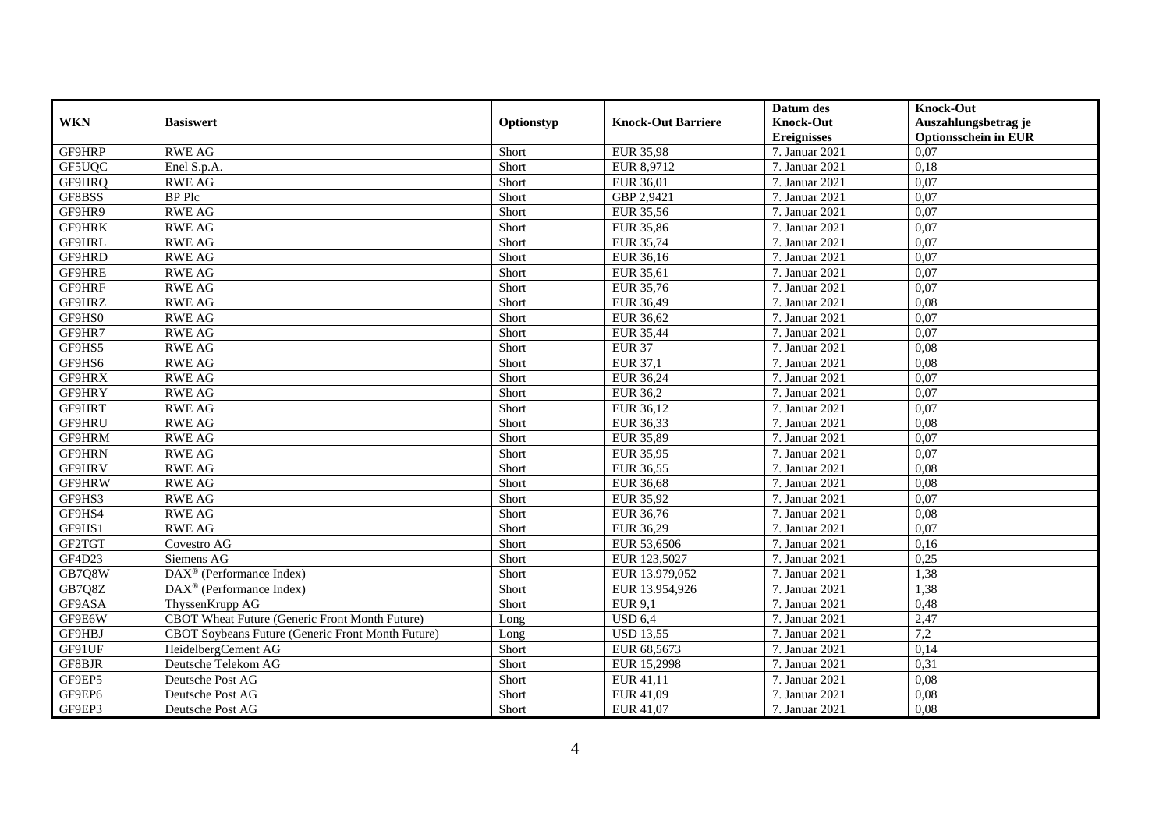|               |                                                       |            |                           | Datum des          | <b>Knock-Out</b>            |
|---------------|-------------------------------------------------------|------------|---------------------------|--------------------|-----------------------------|
| <b>WKN</b>    | <b>Basiswert</b>                                      | Optionstyp | <b>Knock-Out Barriere</b> | <b>Knock-Out</b>   | Auszahlungsbetrag je        |
|               |                                                       |            |                           | <b>Ereignisses</b> | <b>Optionsschein in EUR</b> |
| GF9HRP        | <b>RWE AG</b>                                         | Short      | <b>EUR 35,98</b>          | 7. Januar 2021     | 0,07                        |
| GF5UQC        | Enel S.p.A.                                           | Short      | EUR 8,9712                | 7. Januar 2021     | 0,18                        |
| GF9HRQ        | <b>RWE AG</b>                                         | Short      | EUR 36,01                 | 7. Januar 2021     | 0,07                        |
| GF8BSS        | <b>BP</b> Plc                                         | Short      | GBP 2,9421                | 7. Januar 2021     | 0,07                        |
| GF9HR9        | <b>RWE AG</b>                                         | Short      | <b>EUR 35,56</b>          | 7. Januar 2021     | 0,07                        |
| <b>GF9HRK</b> | <b>RWE AG</b>                                         | Short      | <b>EUR 35,86</b>          | 7. Januar 2021     | 0.07                        |
| GF9HRL        | <b>RWE AG</b>                                         | Short      | EUR 35,74                 | 7. Januar 2021     | 0.07                        |
| GF9HRD        | <b>RWE AG</b>                                         | Short      | EUR 36,16                 | 7. Januar 2021     | 0,07                        |
| GF9HRE        | <b>RWE AG</b>                                         | Short      | <b>EUR 35,61</b>          | 7. Januar 2021     | 0,07                        |
| GF9HRF        | <b>RWE AG</b>                                         | Short      | EUR 35,76                 | 7. Januar 2021     | 0,07                        |
| GF9HRZ        | <b>RWE AG</b>                                         | Short      | EUR 36,49                 | 7. Januar 2021     | 0,08                        |
| GF9HS0        | <b>RWE AG</b>                                         | Short      | EUR 36,62                 | 7. Januar 2021     | 0,07                        |
| GF9HR7        | <b>RWE AG</b>                                         | Short      | <b>EUR 35,44</b>          | 7. Januar 2021     | 0,07                        |
| GF9HS5        | <b>RWE AG</b>                                         | Short      | <b>EUR 37</b>             | 7. Januar 2021     | 0.08                        |
| GF9HS6        | <b>RWE AG</b>                                         | Short      | EUR 37,1                  | 7. Januar 2021     | 0,08                        |
| GF9HRX        | <b>RWE AG</b>                                         | Short      | EUR 36,24                 | 7. Januar 2021     | 0,07                        |
| GF9HRY        | <b>RWE AG</b>                                         | Short      | <b>EUR 36,2</b>           | 7. Januar 2021     | 0,07                        |
| GF9HRT        | <b>RWE AG</b>                                         | Short      | EUR 36,12                 | 7. Januar 2021     | 0,07                        |
| GF9HRU        | <b>RWE AG</b>                                         | Short      | EUR 36,33                 | 7. Januar 2021     | 0,08                        |
| GF9HRM        | <b>RWE AG</b>                                         | Short      | EUR 35,89                 | 7. Januar 2021     | 0,07                        |
| GF9HRN        | <b>RWE AG</b>                                         | Short      | <b>EUR 35,95</b>          | 7. Januar 2021     | 0,07                        |
| GF9HRV        | <b>RWE AG</b>                                         | Short      | EUR 36,55                 | 7. Januar 2021     | 0.08                        |
| GF9HRW        | <b>RWE AG</b>                                         | Short      | <b>EUR 36,68</b>          | 7. Januar 2021     | 0,08                        |
| GF9HS3        | <b>RWE AG</b>                                         | Short      | <b>EUR 35,92</b>          | 7. Januar 2021     | 0.07                        |
| GF9HS4        | <b>RWE AG</b>                                         | Short      | EUR 36,76                 | 7. Januar 2021     | 0,08                        |
| GF9HS1        | <b>RWE AG</b>                                         | Short      | EUR 36,29                 | 7. Januar 2021     | 0,07                        |
| GF2TGT        | Covestro AG                                           | Short      | EUR 53,6506               | 7. Januar 2021     | 0,16                        |
| GF4D23        | Siemens AG                                            | Short      | EUR 123,5027              | 7. Januar 2021     | 0,25                        |
| GB7Q8W        | $\overline{\text{DAX}^{\otimes}}$ (Performance Index) | Short      | EUR 13.979,052            | 7. Januar 2021     | 1,38                        |
| GB7Q8Z        | $\text{DAX}^{\textcircled{}}$ (Performance Index)     | Short      | EUR 13.954,926            | 7. Januar 2021     | 1,38                        |
| GF9ASA        | ThyssenKrupp AG                                       | Short      | <b>EUR 9,1</b>            | 7. Januar 2021     | 0,48                        |
| GF9E6W        | CBOT Wheat Future (Generic Front Month Future)        | Long       | <b>USD 6,4</b>            | 7. Januar 2021     | 2,47                        |
| GF9HBJ        | CBOT Soybeans Future (Generic Front Month Future)     | Long       | <b>USD 13,55</b>          | 7. Januar 2021     | 7,2                         |
| GF91UF        | HeidelbergCement AG                                   | Short      | EUR 68,5673               | 7. Januar 2021     | 0,14                        |
| GF8BJR        | Deutsche Telekom AG                                   | Short      | EUR 15,2998               | 7. Januar 2021     | 0,31                        |
| GF9EP5        | Deutsche Post AG                                      | Short      | EUR 41,11                 | 7. Januar 2021     | 0,08                        |
| GF9EP6        | Deutsche Post AG                                      | Short      | EUR 41,09                 | 7. Januar 2021     | 0,08                        |
| GF9EP3        | Deutsche Post AG                                      | Short      | EUR 41,07                 | 7. Januar 2021     | 0,08                        |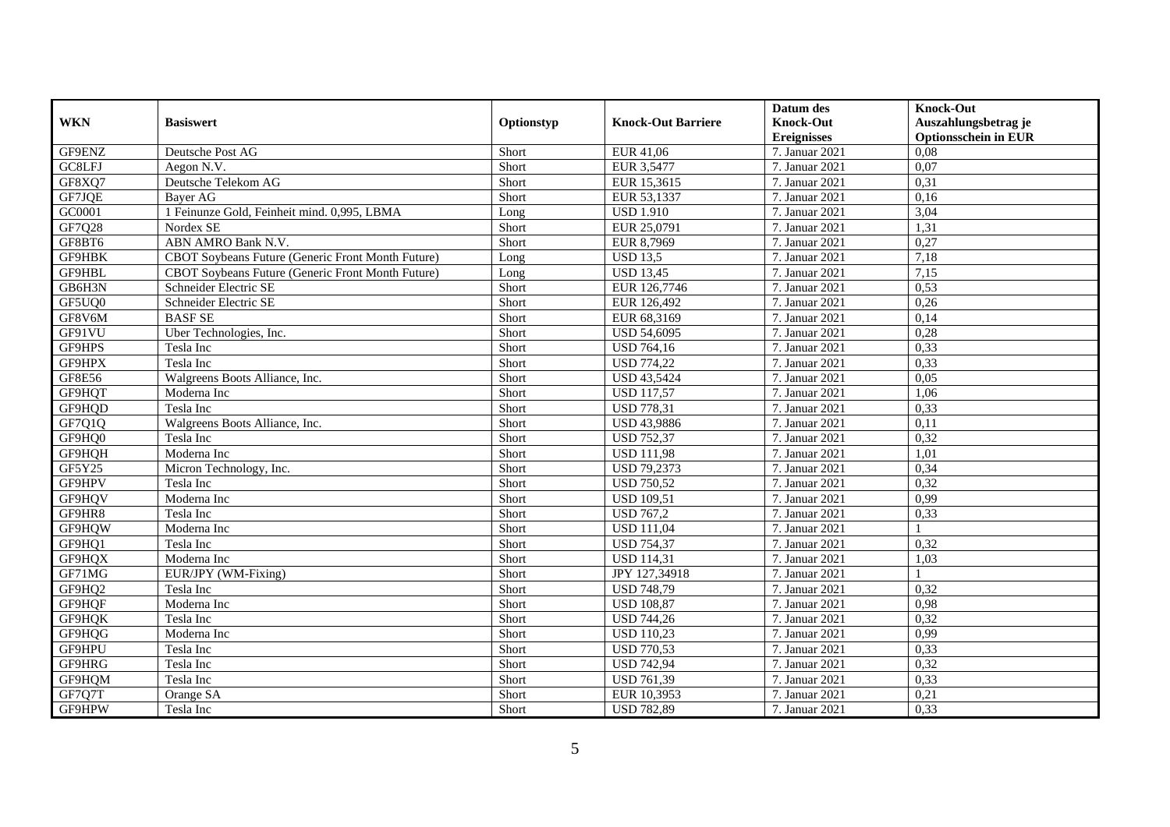|               |                                                          |            |                           | Datum des          | <b>Knock-Out</b>            |
|---------------|----------------------------------------------------------|------------|---------------------------|--------------------|-----------------------------|
| <b>WKN</b>    | <b>Basiswert</b>                                         | Optionstyp | <b>Knock-Out Barriere</b> | <b>Knock-Out</b>   | Auszahlungsbetrag je        |
|               |                                                          |            |                           | <b>Ereignisses</b> | <b>Optionsschein in EUR</b> |
| GF9ENZ        | Deutsche Post AG                                         | Short      | EUR 41,06                 | 7. Januar 2021     | 0.08                        |
| GC8LFJ        | Aegon N.V.                                               | Short      | EUR 3,5477                | 7. Januar 2021     | 0,07                        |
| GF8XQ7        | Deutsche Telekom AG                                      | Short      | EUR 15,3615               | 7. Januar 2021     | 0,31                        |
| GF7JQE        | Bayer AG                                                 | Short      | EUR 53,1337               | 7. Januar 2021     | 0,16                        |
| GC0001        | 1 Feinunze Gold, Feinheit mind. 0,995, LBMA              | Long       | <b>USD 1.910</b>          | 7. Januar 2021     | 3,04                        |
| GF7Q28        | Nordex SE                                                | Short      | EUR 25,0791               | 7. Januar 2021     | 1,31                        |
| GF8BT6        | ABN AMRO Bank N.V.                                       | Short      | EUR 8,7969                | 7. Januar 2021     | 0,27                        |
| GF9HBK        | CBOT Soybeans Future (Generic Front Month Future)        | Long       | <b>USD 13,5</b>           | 7. Januar 2021     | 7,18                        |
| GF9HBL        | <b>CBOT Sovbeans Future (Generic Front Month Future)</b> | Long       | <b>USD 13,45</b>          | 7. Januar 2021     | 7,15                        |
| GB6H3N        | Schneider Electric SE                                    | Short      | EUR 126,7746              | 7. Januar 2021     | 0,53                        |
| GF5UQ0        | Schneider Electric SE                                    | Short      | EUR 126,492               | 7. Januar 2021     | 0,26                        |
| GF8V6M        | <b>BASFSE</b>                                            | Short      | EUR 68,3169               | 7. Januar 2021     | 0,14                        |
| GF91VU        | Uber Technologies, Inc.                                  | Short      | <b>USD 54,6095</b>        | 7. Januar 2021     | 0,28                        |
| GF9HPS        | Tesla Inc                                                | Short      | <b>USD 764,16</b>         | 7. Januar 2021     | 0,33                        |
| GF9HPX        | Tesla Inc                                                | Short      | <b>USD 774,22</b>         | 7. Januar 2021     | 0,33                        |
| <b>GF8E56</b> | Walgreens Boots Alliance, Inc.                           | Short      | <b>USD 43,5424</b>        | 7. Januar 2021     | 0,05                        |
| GF9HQT        | Moderna Inc                                              | Short      | <b>USD 117,57</b>         | 7. Januar 2021     | 1,06                        |
| GF9HOD        | Tesla Inc                                                | Short      | <b>USD 778.31</b>         | 7. Januar 2021     | 0.33                        |
| GF7Q1Q        | Walgreens Boots Alliance, Inc.                           | Short      | <b>USD 43,9886</b>        | 7. Januar 2021     | 0,11                        |
| GF9HQ0        | Tesla Inc                                                | Short      | <b>USD 752,37</b>         | 7. Januar 2021     | 0,32                        |
| GF9HQH        | Moderna Inc                                              | Short      | <b>USD 111,98</b>         | 7. Januar 2021     | 1,01                        |
| GF5Y25        | Micron Technology, Inc.                                  | Short      | <b>USD 79,2373</b>        | 7. Januar 2021     | 0,34                        |
| GF9HPV        | Tesla Inc                                                | Short      | <b>USD 750,52</b>         | 7. Januar 2021     | 0,32                        |
| GF9HQV        | Moderna Inc                                              | Short      | <b>USD 109,51</b>         | 7. Januar 2021     | 0,99                        |
| GF9HR8        | Tesla Inc                                                | Short      | <b>USD 767,2</b>          | 7. Januar 2021     | 0,33                        |
| GF9HQW        | Moderna Inc                                              | Short      | <b>USD 111,04</b>         | 7. Januar 2021     |                             |
| GF9HQ1        | Tesla Inc                                                | Short      | <b>USD 754,37</b>         | 7. Januar 2021     | 0,32                        |
| GF9HQX        | Moderna Inc                                              | Short      | <b>USD 114,31</b>         | 7. Januar 2021     | 1,03                        |
| GF71MG        | EUR/JPY (WM-Fixing)                                      | Short      | JPY 127,34918             | 7. Januar 2021     |                             |
| GF9HQ2        | Tesla Inc                                                | Short      | <b>USD 748,79</b>         | 7. Januar 2021     | 0,32                        |
| GF9HQF        | Moderna Inc                                              | Short      | <b>USD 108,87</b>         | 7. Januar 2021     | 0,98                        |
| GF9HQK        | Tesla Inc                                                | Short      | <b>USD 744,26</b>         | 7. Januar 2021     | 0,32                        |
| GF9HQG        | Moderna Inc                                              | Short      | <b>USD 110,23</b>         | 7. Januar 2021     | 0,99                        |
| GF9HPU        | Tesla Inc                                                | Short      | <b>USD 770,53</b>         | 7. Januar 2021     | 0,33                        |
| GF9HRG        | Tesla Inc                                                | Short      | <b>USD 742,94</b>         | 7. Januar 2021     | 0,32                        |
| GF9HQM        | Tesla Inc                                                | Short      | <b>USD 761,39</b>         | 7. Januar 2021     | 0,33                        |
| GF7Q7T        | Orange SA                                                | Short      | EUR 10,3953               | 7. Januar 2021     | 0,21                        |
| GF9HPW        | Tesla Inc                                                | Short      | <b>USD 782,89</b>         | 7. Januar 2021     | 0,33                        |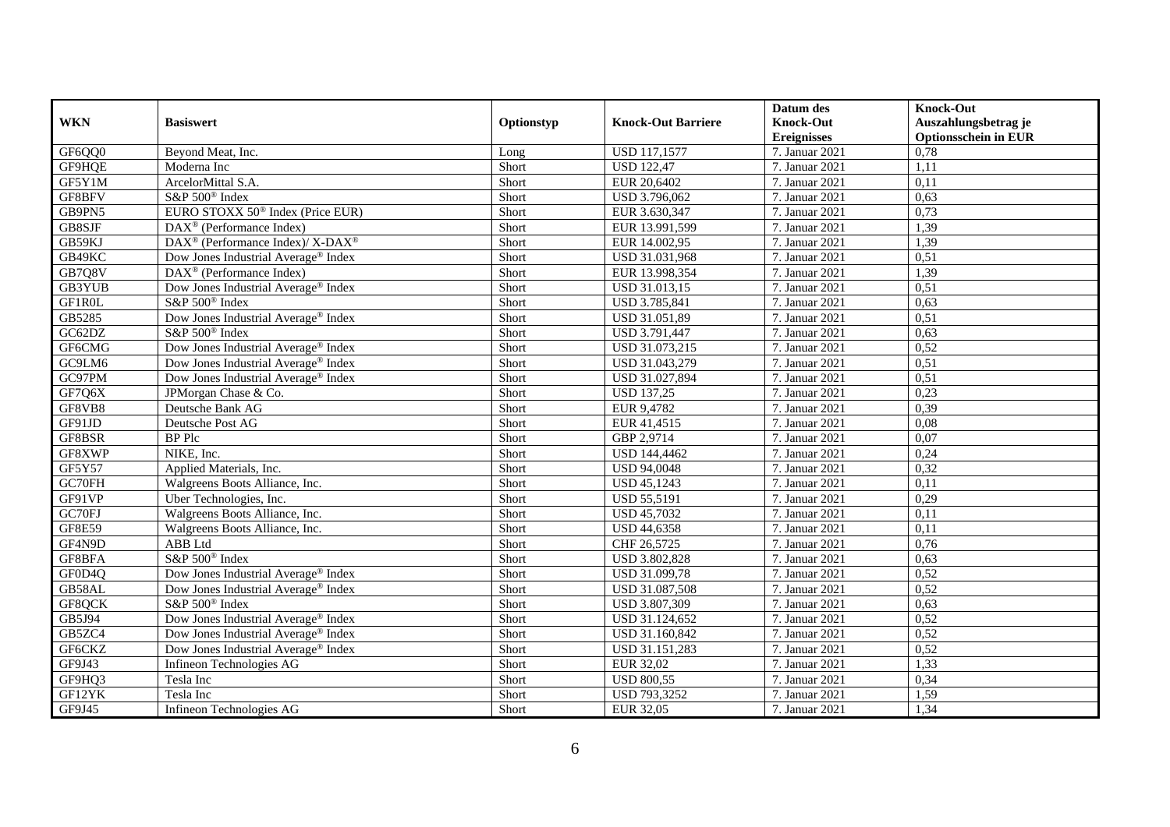|               |                                                          |            |                           | Datum des                              | <b>Knock-Out</b>                                    |
|---------------|----------------------------------------------------------|------------|---------------------------|----------------------------------------|-----------------------------------------------------|
| <b>WKN</b>    | <b>Basiswert</b>                                         | Optionstyp | <b>Knock-Out Barriere</b> | <b>Knock-Out</b><br><b>Ereignisses</b> | Auszahlungsbetrag je<br><b>Optionsschein in EUR</b> |
| GF6QQ0        | Beyond Meat, Inc.                                        | Long       | <b>USD 117,1577</b>       | 7. Januar 2021                         | 0,78                                                |
| GF9HQE        | Moderna Inc                                              | Short      | <b>USD 122,47</b>         | 7. Januar 2021                         | 1,11                                                |
| GF5Y1M        | ArcelorMittal S.A.                                       | Short      | EUR 20,6402               | 7. Januar 2021                         | 0,11                                                |
| GF8BFV        | S&P 500 <sup>®</sup> Index                               | Short      | USD 3.796,062             | 7. Januar 2021                         | 0,63                                                |
| GB9PN5        | EURO STOXX 50 <sup>®</sup> Index (Price EUR)             | Short      | EUR 3.630, 347            | 7. Januar 2021                         | 0,73                                                |
| GB8SJF        | $DAX^{\otimes}$ (Performance Index)                      | Short      | EUR 13.991,599            | 7. Januar 2021                         | 1,39                                                |
| GB59KJ        | DAX <sup>®</sup> (Performance Index)/ X-DAX <sup>®</sup> | Short      | EUR 14.002,95             | 7. Januar 2021                         | 1,39                                                |
| GB49KC        | Dow Jones Industrial Average <sup>®</sup> Index          | Short      | USD 31.031,968            | 7. Januar 2021                         | 0,51                                                |
| GB7Q8V        | $\text{DAX}^{\otimes}$ (Performance Index)               | Short      | EUR 13.998,354            | 7. Januar 2021                         | 1,39                                                |
| GB3YUB        | Dow Jones Industrial Average® Index                      | Short      | USD 31.013,15             | 7. Januar 2021                         | 0,51                                                |
| GF1R0L        | S&P 500 <sup>®</sup> Index                               | Short      | USD 3.785,841             | 7. Januar 2021                         | 0,63                                                |
| GB5285        | Dow Jones Industrial Average® Index                      | Short      | USD 31.051,89             | 7. Januar 2021                         | 0,51                                                |
| GC62DZ        | S&P 500 <sup>®</sup> Index                               | Short      | USD 3.791,447             | 7. Januar 2021                         | 0,63                                                |
| GF6CMG        | Dow Jones Industrial Average® Index                      | Short      | USD 31.073,215            | 7. Januar 2021                         | 0,52                                                |
| GC9LM6        | Dow Jones Industrial Average® Index                      | Short      | USD 31.043,279            | 7. Januar 2021                         | 0,51                                                |
| GC97PM        | Dow Jones Industrial Average <sup>®</sup> Index          | Short      | USD 31.027,894            | 7. Januar 2021                         | 0,51                                                |
| GF7Q6X        | JPMorgan Chase & Co.                                     | Short      | <b>USD 137,25</b>         | 7. Januar 2021                         | 0,23                                                |
| GF8VB8        | Deutsche Bank AG                                         | Short      | EUR 9,4782                | 7. Januar 2021                         | 0,39                                                |
| GF91JD        | Deutsche Post AG                                         | Short      | EUR 41,4515               | 7. Januar 2021                         | 0,08                                                |
| GF8BSR        | BP Plc                                                   | Short      | GBP 2,9714                | 7. Januar 2021                         | 0,07                                                |
| GF8XWP        | NIKE, Inc.                                               | Short      | USD 144,4462              | 7. Januar 2021                         | 0,24                                                |
| GF5Y57        | Applied Materials, Inc.                                  | Short      | <b>USD 94,0048</b>        | 7. Januar 2021                         | 0,32                                                |
| GC70FH        | Walgreens Boots Alliance, Inc.                           | Short      | <b>USD 45,1243</b>        | 7. Januar 2021                         | 0,11                                                |
| GF91VP        | Uber Technologies, Inc.                                  | Short      | <b>USD 55,5191</b>        | 7. Januar 2021                         | 0,29                                                |
| GC70FJ        | Walgreens Boots Alliance, Inc.                           | Short      | <b>USD 45,7032</b>        | 7. Januar 2021                         | 0,11                                                |
| <b>GF8E59</b> | Walgreens Boots Alliance, Inc.                           | Short      | <b>USD 44,6358</b>        | 7. Januar 2021                         | 0,11                                                |
| GF4N9D        | ABB Ltd                                                  | Short      | CHF 26,5725               | 7. Januar 2021                         | 0,76                                                |
| GF8BFA        | S&P 500 <sup>®</sup> Index                               | Short      | USD 3.802,828             | 7. Januar 2021                         | 0,63                                                |
| GF0D4Q        | Dow Jones Industrial Average® Index                      | Short      | USD 31.099,78             | 7. Januar 2021                         | 0,52                                                |
| GB58AL        | Dow Jones Industrial Average <sup>®</sup> Index          | Short      | USD 31.087,508            | 7. Januar 2021                         | 0,52                                                |
| GF8QCK        | S&P 500 <sup>®</sup> Index                               | Short      | USD 3.807,309             | 7. Januar 2021                         | 0,63                                                |
| GB5J94        | Dow Jones Industrial Average® Index                      | Short      | USD 31.124,652            | 7. Januar 2021                         | 0,52                                                |
| GB5ZC4        | Dow Jones Industrial Average <sup>®</sup> Index          | Short      | USD 31.160,842            | 7. Januar 2021                         | 0,52                                                |
| GF6CKZ        | Dow Jones Industrial Average® Index                      | Short      | USD 31.151,283            | 7. Januar 2021                         | 0,52                                                |
| GF9J43        | Infineon Technologies AG                                 | Short      | EUR 32,02                 | 7. Januar 2021                         | 1,33                                                |
| GF9HQ3        | Tesla Inc                                                | Short      | <b>USD 800,55</b>         | 7. Januar 2021                         | 0,34                                                |
| GF12YK        | Tesla Inc                                                | Short      | USD 793,3252              | 7. Januar 2021                         | 1,59                                                |
| GF9J45        | Infineon Technologies AG                                 | Short      | <b>EUR 32,05</b>          | 7. Januar 2021                         | 1,34                                                |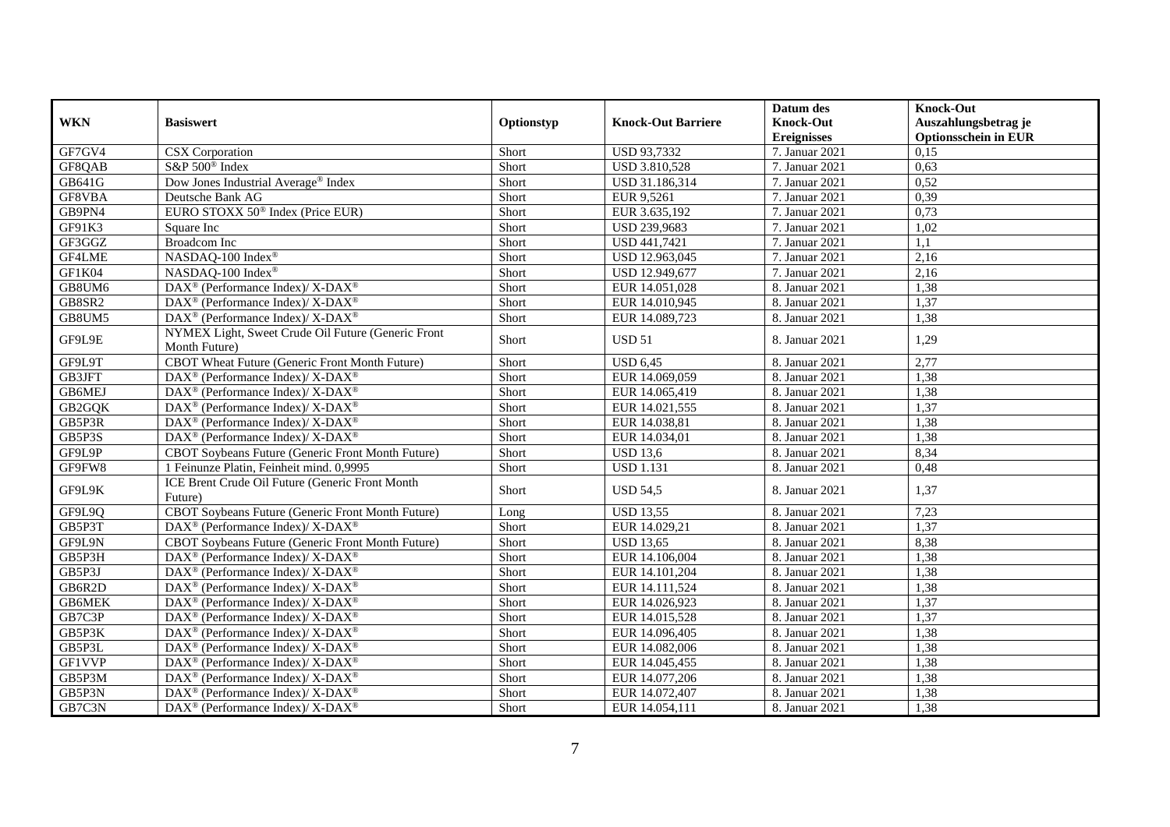|               |                                                                                         |            |                           | Datum des                              | <b>Knock-Out</b>                                    |
|---------------|-----------------------------------------------------------------------------------------|------------|---------------------------|----------------------------------------|-----------------------------------------------------|
| <b>WKN</b>    | <b>Basiswert</b>                                                                        | Optionstyp | <b>Knock-Out Barriere</b> | <b>Knock-Out</b><br><b>Ereignisses</b> | Auszahlungsbetrag je<br><b>Optionsschein in EUR</b> |
| GF7GV4        | <b>CSX</b> Corporation                                                                  | Short      | <b>USD 93,7332</b>        | 7. Januar 2021                         | 0,15                                                |
| GF8QAB        | S&P 500 <sup>®</sup> Index                                                              | Short      | <b>USD 3.810,528</b>      | 7. Januar 2021                         | 0,63                                                |
| GB641G        | Dow Jones Industrial Average® Index                                                     | Short      | USD 31.186.314            | 7. Januar 2021                         | 0,52                                                |
| GF8VBA        | Deutsche Bank AG                                                                        | Short      | EUR 9,5261                | 7. Januar 2021                         | 0,39                                                |
| GB9PN4        | EURO STOXX 50 <sup>®</sup> Index (Price EUR)                                            | Short      | EUR 3.635,192             | 7. Januar 2021                         | 0,73                                                |
| GF91K3        | Square Inc                                                                              | Short      | USD 239,9683              | 7. Januar 2021                         | 1,02                                                |
| GF3GGZ        | Broadcom Inc                                                                            | Short      | USD 441,7421              | 7. Januar 2021                         | 1,1                                                 |
| GF4LME        | NASDAQ-100 Index®                                                                       | Short      | USD 12.963,045            | 7. Januar 2021                         | 2,16                                                |
| GF1K04        | NASDAQ-100 Index®                                                                       | Short      | USD 12.949,677            | 7. Januar 2021                         | 2,16                                                |
| GB8UM6        | DAX <sup>®</sup> (Performance Index)/ X-DAX <sup>®</sup>                                | Short      | EUR 14.051,028            | 8. Januar 2021                         | 1,38                                                |
| GB8SR2        | $DAX^{\circledcirc}$ (Performance Index)/X-DAX <sup>®</sup>                             | Short      | EUR 14.010,945            | 8. Januar 2021                         | 1,37                                                |
| GB8UM5        | DAX <sup>®</sup> (Performance Index)/ X-DAX <sup>®</sup>                                | Short      | EUR 14.089,723            | 8. Januar 2021                         | 1,38                                                |
| GF9L9E        | NYMEX Light, Sweet Crude Oil Future (Generic Front<br>Month Future)                     | Short      | <b>USD 51</b>             | 8. Januar 2021                         | 1,29                                                |
| GF9L9T        | CBOT Wheat Future (Generic Front Month Future)                                          | Short      | <b>USD 6.45</b>           | 8. Januar 2021                         | 2,77                                                |
| GB3JFT        | DAX <sup>®</sup> (Performance Index)/ X-DAX <sup>®</sup>                                | Short      | EUR 14.069,059            | 8. Januar 2021                         | 1,38                                                |
| GB6MEJ        | DAX <sup>®</sup> (Performance Index)/ X-DAX <sup>®</sup>                                | Short      | EUR 14.065,419            | 8. Januar 2021                         | 1,38                                                |
| GB2GQK        | $\text{DAX}^{\circledR}$ (Performance Index)/X-DAX <sup>®</sup>                         | Short      | EUR 14.021,555            | 8. Januar 2021                         | 1,37                                                |
| GB5P3R        | DAX <sup>®</sup> (Performance Index)/ X-DAX <sup>®</sup>                                | Short      | EUR 14.038,81             | 8. Januar 2021                         | 1,38                                                |
| GB5P3S        | $\text{DAX}^{\circledR}$ (Performance Index)/X-DAX <sup>®</sup>                         | Short      | EUR 14.034,01             | 8. Januar 2021                         | 1,38                                                |
| GF9L9P        | <b>CBOT Soybeans Future (Generic Front Month Future)</b>                                | Short      | <b>USD 13,6</b>           | 8. Januar 2021                         | 8,34                                                |
| GF9FW8        | 1 Feinunze Platin, Feinheit mind. 0,9995                                                | Short      | <b>USD 1.131</b>          | 8. Januar 2021                         | 0.48                                                |
| GF9L9K        | ICE Brent Crude Oil Future (Generic Front Month<br>Future)                              | Short      | <b>USD 54,5</b>           | 8. Januar 2021                         | 1,37                                                |
| GF9L9Q        | CBOT Soybeans Future (Generic Front Month Future)                                       | Long       | <b>USD 13,55</b>          | 8. Januar 2021                         | 7,23                                                |
| GB5P3T        | DAX <sup>®</sup> (Performance Index)/ X-DAX <sup>®</sup>                                | Short      | EUR 14.029,21             | 8. Januar 2021                         | 1,37                                                |
| GF9L9N        | CBOT Soybeans Future (Generic Front Month Future)                                       | Short      | <b>USD 13.65</b>          | 8. Januar 2021                         | 8,38                                                |
| GB5P3H        | $DAX^{\circledcirc}$ (Performance Index)/X-DAX <sup>®</sup>                             | Short      | EUR 14.106,004            | 8. Januar 2021                         | 1,38                                                |
| GB5P3J        | DAX <sup>®</sup> (Performance Index)/ X-DAX <sup>®</sup>                                | Short      | EUR 14.101,204            | 8. Januar 2021                         | 1,38                                                |
| GB6R2D        | $\text{DAX}^{\circledR}$ (Performance Index)/ X-DAX <sup>®</sup>                        | Short      | EUR 14.111,524            | 8. Januar 2021                         | 1,38                                                |
| <b>GB6MEK</b> | $\text{DAX}^{\circledR}$ (Performance Index)/X-DAX <sup>®</sup>                         | Short      | EUR 14.026,923            | 8. Januar 2021                         | 1,37                                                |
| GB7C3P        | $\text{DAX}^{\circledR}$ (Performance Index)/X-DAX <sup>®</sup>                         | Short      | EUR 14.015,528            | 8. Januar 2021                         | 1,37                                                |
| GB5P3K        | $\text{DAX}^{\circledR}$ (Performance Index)/X-DAX <sup>®</sup>                         | Short      | EUR 14.096,405            | 8. Januar 2021                         | 1,38                                                |
| GB5P3L        | DAX <sup>®</sup> (Performance Index)/ X-DAX <sup>®</sup>                                | Short      | EUR 14.082,006            | 8. Januar 2021                         | 1,38                                                |
| <b>GF1VVP</b> | $\text{DAX}^{\circledast}$ (Performance Index)/ $\overline{\text{X-DAX}^{\circledast}}$ | Short      | EUR 14.045,455            | 8. Januar 2021                         | 1,38                                                |
| GB5P3M        | $\text{DAX}^{\circledR}$ (Performance Index)/ X-DAX <sup>®</sup>                        | Short      | EUR 14.077,206            | 8. Januar 2021                         | 1,38                                                |
| GB5P3N        | DAX <sup>®</sup> (Performance Index)/ X-DAX <sup>®</sup>                                | Short      | EUR 14.072,407            | 8. Januar 2021                         | 1,38                                                |
| GB7C3N        | $\text{DAX}^{\circledR}$ (Performance Index)/X-DAX <sup>®</sup>                         | Short      | EUR 14.054,111            | 8. Januar 2021                         | 1,38                                                |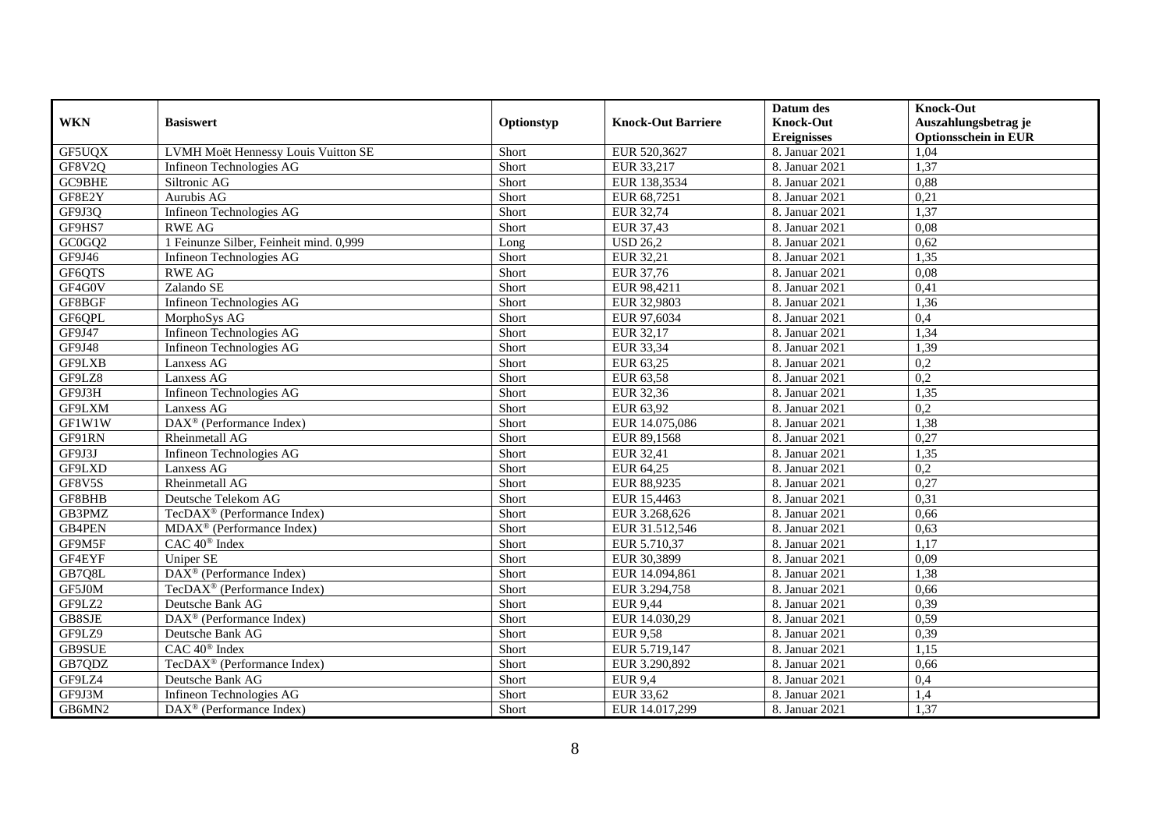|               |                                                |            |                              | Datum des          | <b>Knock-Out</b>            |
|---------------|------------------------------------------------|------------|------------------------------|--------------------|-----------------------------|
| <b>WKN</b>    | <b>Basiswert</b>                               | Optionstyp | <b>Knock-Out Barriere</b>    | <b>Knock-Out</b>   | Auszahlungsbetrag je        |
|               |                                                |            |                              | <b>Ereignisses</b> | <b>Optionsschein in EUR</b> |
| GF5UQX        | LVMH Moët Hennessy Louis Vuitton SE            | Short      | EUR 520,3627                 | 8. Januar 2021     | 1,04                        |
| GF8V2Q        | Infineon Technologies AG                       | Short      | EUR 33,217                   | 8. Januar 2021     | 1,37                        |
| GC9BHE        | Siltronic AG                                   | Short      | EUR 138,3534                 | 8. Januar 2021     | 0,88                        |
| GF8E2Y        | Aurubis AG                                     | Short      | EUR 68,7251                  | 8. Januar 2021     | 0,21                        |
| GF9J3Q        | Infineon Technologies AG                       | Short      | EUR 32,74                    | 8. Januar 2021     | 1,37                        |
| GF9HS7        | <b>RWE AG</b>                                  | Short      | EUR 37,43                    | 8. Januar 2021     | 0,08                        |
| GC0GQ2        | 1 Feinunze Silber, Feinheit mind. 0,999        | Long       | $\overline{\text{USD}}$ 26,2 | 8. Januar 2021     | 0,62                        |
| GF9J46        | Infineon Technologies AG                       | Short      | EUR 32,21                    | 8. Januar 2021     | 1,35                        |
| GF6QTS        | <b>RWE AG</b>                                  | Short      | EUR 37,76                    | 8. Januar 2021     | 0,08                        |
| GF4G0V        | Zalando SE                                     | Short      | EUR 98,4211                  | 8. Januar 2021     | 0,41                        |
| GF8BGF        | Infineon Technologies AG                       | Short      | EUR 32,9803                  | 8. Januar 2021     | 1,36                        |
| GF6QPL        | MorphoSys AG                                   | Short      | EUR 97,6034                  | 8. Januar 2021     | 0,4                         |
| GF9J47        | Infineon Technologies AG                       | Short      | EUR 32,17                    | 8. Januar 2021     | 1,34                        |
| GF9J48        | Infineon Technologies AG                       | Short      | EUR 33,34                    | 8. Januar 2021     | 1,39                        |
| GF9LXB        | Lanxess AG                                     | Short      | EUR 63,25                    | 8. Januar 2021     | 0,2                         |
| GF9LZ8        | Lanxess AG                                     | Short      | EUR 63,58                    | 8. Januar 2021     | 0,2                         |
| GF9J3H        | Infineon Technologies AG                       | Short      | EUR 32,36                    | 8. Januar 2021     | 1,35                        |
| GF9LXM        | Lanxess AG                                     | Short      | EUR 63.92                    | 8. Januar 2021     | 0,2                         |
| GF1W1W        | DAX <sup>®</sup> (Performance Index)           | Short      | EUR 14.075,086               | 8. Januar 2021     | 1,38                        |
| GF91RN        | Rheinmetall AG                                 | Short      | EUR 89,1568                  | 8. Januar 2021     | 0,27                        |
| GF9J3J        | Infineon Technologies AG                       | Short      | EUR 32,41                    | 8. Januar 2021     | 1,35                        |
| GF9LXD        | Lanxess AG                                     | Short      | EUR 64,25                    | 8. Januar 2021     | $\overline{0,2}$            |
| GF8V5S        | Rheinmetall AG                                 | Short      | EUR 88,9235                  | 8. Januar 2021     | 0,27                        |
| GF8BHB        | Deutsche Telekom AG                            | Short      | EUR 15,4463                  | 8. Januar 2021     | 0,31                        |
| GB3PMZ        | $TecDAX^{\circledast}$ (Performance Index)     | Short      | EUR 3.268,626                | 8. Januar 2021     | 0,66                        |
| <b>GB4PEN</b> | $MDAX^{\circledR}$ (Performance Index)         | Short      | EUR 31.512,546               | 8. Januar 2021     | 0,63                        |
| GF9M5F        | CAC 40 <sup>®</sup> Index                      | Short      | EUR 5.710,37                 | 8. Januar 2021     | 1,17                        |
| GF4EYF        | Uniper SE                                      | Short      | EUR 30.3899                  | 8. Januar 2021     | 0.09                        |
| GB7Q8L        | $DAX^{\circledast}$ (Performance Index)        | Short      | EUR 14.094,861               | 8. Januar 2021     | 1,38                        |
| GF5J0M        | TecDAX <sup>®</sup> (Performance Index)        | Short      | EUR 3.294,758                | 8. Januar 2021     | 0,66                        |
| GF9LZ2        | Deutsche Bank AG                               | Short      | EUR 9,44                     | 8. Januar 2021     | 0,39                        |
| GB8SJE        | $\text{DAX}^{\circledast}$ (Performance Index) | Short      | EUR 14.030,29                | 8. Januar 2021     | 0,59                        |
| GF9LZ9        | Deutsche Bank AG                               | Short      | <b>EUR 9,58</b>              | 8. Januar 2021     | 0,39                        |
| <b>GB9SUE</b> | $CAC 40$ <sup>®</sup> Index                    | Short      | EUR 5.719,147                | 8. Januar 2021     | 1,15                        |
| GB7QDZ        | TecDAX <sup>®</sup> (Performance Index)        | Short      | EUR 3.290,892                | 8. Januar 2021     | 0,66                        |
| GF9LZ4        | Deutsche Bank AG                               | Short      | <b>EUR 9,4</b>               | 8. Januar 2021     | 0,4                         |
| GF9J3M        | Infineon Technologies AG                       | Short      | EUR 33,62                    | 8. Januar 2021     | 1,4                         |
| GB6MN2        | $\text{DAX}^{\otimes}$ (Performance Index)     | Short      | EUR 14.017,299               | 8. Januar 2021     | 1,37                        |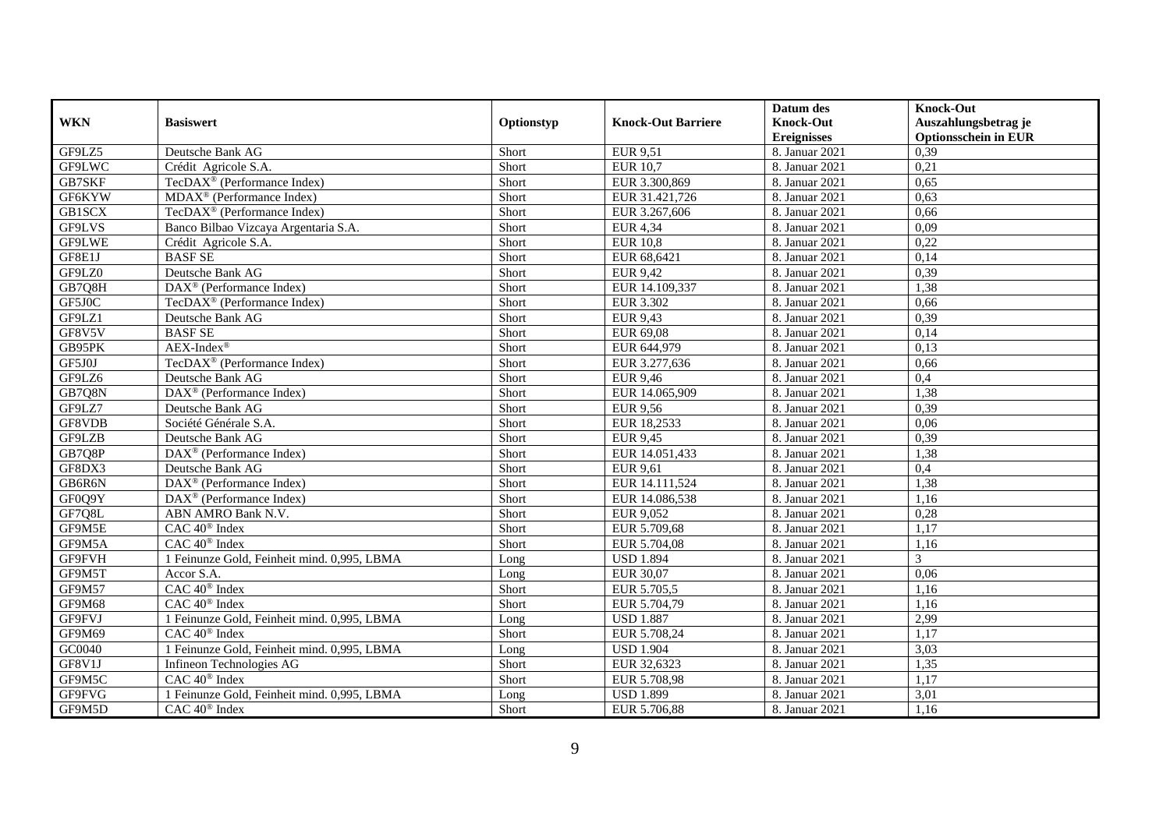|               |                                                |            |                           | Datum des          | <b>Knock-Out</b>            |
|---------------|------------------------------------------------|------------|---------------------------|--------------------|-----------------------------|
| <b>WKN</b>    | <b>Basiswert</b>                               | Optionstyp | <b>Knock-Out Barriere</b> | <b>Knock-Out</b>   | Auszahlungsbetrag je        |
|               |                                                |            |                           | <b>Ereignisses</b> | <b>Optionsschein in EUR</b> |
| GF9LZ5        | Deutsche Bank AG                               | Short      | <b>EUR 9,51</b>           | 8. Januar 2021     | 0,39                        |
| GF9LWC        | Crédit Agricole S.A.                           | Short      | <b>EUR 10,7</b>           | 8. Januar 2021     | 0,21                        |
| GB7SKF        | TecDAX <sup>®</sup> (Performance Index)        | Short      | EUR 3.300,869             | 8. Januar 2021     | 0,65                        |
| GF6KYW        | $MDAX^{\circledR}$ (Performance Index)         | Short      | EUR 31.421,726            | 8. Januar 2021     | 0,63                        |
| GB1SCX        | TecDAX <sup>®</sup> (Performance Index)        | Short      | EUR 3.267,606             | 8. Januar 2021     | 0,66                        |
| <b>GF9LVS</b> | Banco Bilbao Vizcaya Argentaria S.A.           | Short      | <b>EUR 4,34</b>           | 8. Januar 2021     | 0.09                        |
| <b>GF9LWE</b> | Crédit Agricole S.A.                           | Short      | <b>EUR 10.8</b>           | 8. Januar 2021     | 0,22                        |
| GF8E1J        | <b>BASF SE</b>                                 | Short      | EUR 68,6421               | 8. Januar 2021     | 0,14                        |
| GF9LZ0        | Deutsche Bank AG                               | Short      | <b>EUR 9,42</b>           | 8. Januar 2021     | 0,39                        |
| GB7Q8H        | DAX <sup>®</sup> (Performance Index)           | Short      | EUR 14.109,337            | 8. Januar 2021     | 1,38                        |
| GF5J0C        | TecDAX <sup>®</sup> (Performance Index)        | Short      | <b>EUR 3.302</b>          | 8. Januar 2021     | 0,66                        |
| GF9LZ1        | Deutsche Bank AG                               | Short      | <b>EUR 9,43</b>           | 8. Januar 2021     | 0,39                        |
| GF8V5V        | <b>BASF SE</b>                                 | Short      | EUR 69,08                 | 8. Januar 2021     | 0,14                        |
| GB95PK        | $AEX-Index^{\circledR}$                        | Short      | EUR 644,979               | 8. Januar 2021     | 0,13                        |
| GF5J0J        | TecDAX <sup>®</sup> (Performance Index)        | Short      | EUR 3.277,636             | 8. Januar 2021     | 0,66                        |
| GF9LZ6        | Deutsche Bank AG                               | Short      | <b>EUR 9,46</b>           | 8. Januar 2021     | 0,4                         |
| GB7Q8N        | DAX <sup>®</sup> (Performance Index)           | Short      | EUR 14.065,909            | 8. Januar 2021     | 1,38                        |
| GF9LZ7        | Deutsche Bank AG                               | Short      | <b>EUR 9,56</b>           | 8. Januar 2021     | 0,39                        |
| GF8VDB        | Société Générale S.A.                          | Short      | EUR 18,2533               | 8. Januar 2021     | 0,06                        |
| GF9LZB        | Deutsche Bank AG                               | Short      | EUR 9,45                  | 8. Januar 2021     | 0,39                        |
| GB7Q8P        | $\text{DAX}^{\circledast}$ (Performance Index) | Short      | EUR 14.051,433            | 8. Januar 2021     | 1,38                        |
| GF8DX3        | Deutsche Bank AG                               | Short      | <b>EUR 9.61</b>           | 8. Januar 2021     | 0,4                         |
| GB6R6N        | $DAX^{\otimes}$ (Performance Index)            | Short      | EUR 14.111,524            | 8. Januar 2021     | 1,38                        |
| GF0Q9Y        | $DAX^{\circledast}$ (Performance Index)        | Short      | EUR 14.086,538            | 8. Januar 2021     | 1,16                        |
| GF7Q8L        | ABN AMRO Bank N.V.                             | Short      | EUR 9,052                 | 8. Januar 2021     | 0,28                        |
| GF9M5E        | $CAC 40^{\circledast}$ Index                   | Short      | EUR 5.709,68              | 8. Januar 2021     | 1,17                        |
| GF9M5A        | $CAC 40$ <sup>®</sup> Index                    | Short      | EUR 5.704,08              | 8. Januar 2021     | 1,16                        |
| GF9FVH        | 1 Feinunze Gold, Feinheit mind. 0,995, LBMA    | Long       | <b>USD 1.894</b>          | 8. Januar 2021     | 3                           |
| GF9M5T        | Accor S.A.                                     | Long       | EUR 30,07                 | 8. Januar 2021     | 0,06                        |
| <b>GF9M57</b> | $CAC 40$ <sup>®</sup> Index                    | Short      | EUR 5.705.5               | 8. Januar 2021     | 1.16                        |
| GF9M68        | CAC 40 <sup>®</sup> Index                      | Short      | EUR 5.704,79              | 8. Januar 2021     | 1,16                        |
| GF9FVJ        | 1 Feinunze Gold, Feinheit mind. 0,995, LBMA    | Long       | <b>USD 1.887</b>          | 8. Januar 2021     | 2,99                        |
| GF9M69        | CAC 40 <sup>®</sup> Index                      | Short      | EUR 5.708,24              | 8. Januar 2021     | 1,17                        |
| GC0040        | 1 Feinunze Gold, Feinheit mind. 0,995, LBMA    | Long       | <b>USD 1.904</b>          | 8. Januar 2021     | 3,03                        |
| GF8V1J        | Infineon Technologies AG                       | Short      | EUR 32,6323               | 8. Januar 2021     | 1,35                        |
| GF9M5C        | $CAC 40$ <sup>®</sup> Index                    | Short      | EUR 5.708,98              | 8. Januar 2021     | 1,17                        |
| GF9FVG        | 1 Feinunze Gold, Feinheit mind. 0,995, LBMA    | Long       | <b>USD 1.899</b>          | 8. Januar 2021     | 3,01                        |
| GF9M5D        | CAC 40 <sup>®</sup> Index                      | Short      | EUR 5.706,88              | 8. Januar 2021     | 1,16                        |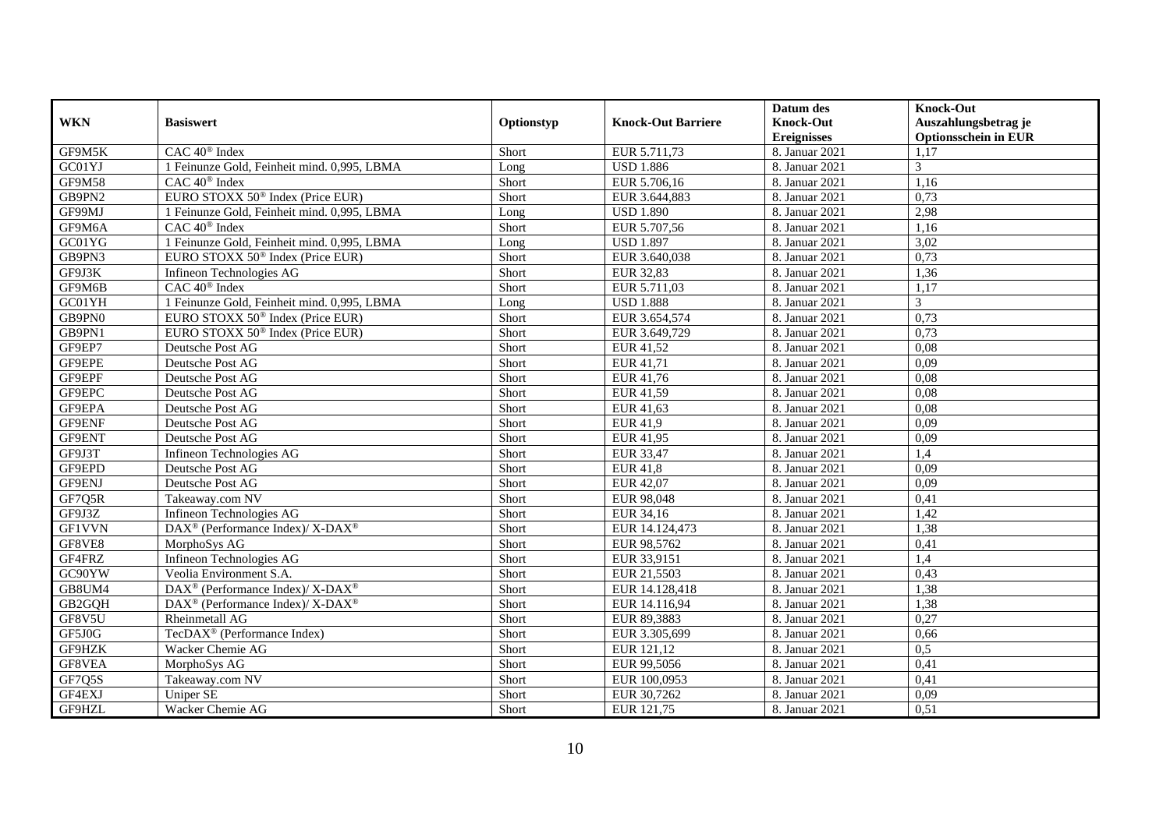|               |                                                                 |            |                           | Datum des          | <b>Knock-Out</b>            |
|---------------|-----------------------------------------------------------------|------------|---------------------------|--------------------|-----------------------------|
| <b>WKN</b>    | <b>Basiswert</b>                                                | Optionstyp | <b>Knock-Out Barriere</b> | <b>Knock-Out</b>   | Auszahlungsbetrag je        |
|               |                                                                 |            |                           | <b>Ereignisses</b> | <b>Optionsschein in EUR</b> |
| GF9M5K        | $CAC 40^{\circledast}$ Index                                    | Short      | EUR 5.711,73              | 8. Januar 2021     | 1,17                        |
| GC01YJ        | 1 Feinunze Gold, Feinheit mind. 0,995, LBMA                     | Long       | <b>USD 1.886</b>          | 8. Januar 2021     | 3                           |
| GF9M58        | CAC 40 <sup>®</sup> Index                                       | Short      | EUR 5.706,16              | 8. Januar 2021     | 1,16                        |
| GB9PN2        | EURO STOXX 50 <sup>®</sup> Index (Price EUR)                    | Short      | EUR 3.644,883             | 8. Januar 2021     | 0,73                        |
| GF99MJ        | 1 Feinunze Gold, Feinheit mind. 0,995, LBMA                     | Long       | <b>USD 1.890</b>          | 8. Januar 2021     | 2,98                        |
| GF9M6A        | $CAC 40$ <sup>®</sup> Index                                     | Short      | EUR 5.707,56              | 8. Januar 2021     | 1,16                        |
| GC01YG        | 1 Feinunze Gold, Feinheit mind. 0,995, LBMA                     | Long       | <b>USD 1.897</b>          | 8. Januar 2021     | 3,02                        |
| GB9PN3        | EURO STOXX 50 <sup>®</sup> Index (Price EUR)                    | Short      | EUR 3.640,038             | 8. Januar 2021     | 0,73                        |
| GF9J3K        | Infineon Technologies AG                                        | Short      | <b>EUR 32,83</b>          | 8. Januar 2021     | 1,36                        |
| GF9M6B        | $CAC 40$ <sup>®</sup> Index                                     | Short      | EUR 5.711,03              | 8. Januar 2021     | 1,17                        |
| GC01YH        | 1 Feinunze Gold, Feinheit mind. 0,995, LBMA                     | Long       | <b>USD 1.888</b>          | 8. Januar 2021     | $\mathfrak{Z}$              |
| GB9PN0        | EURO STOXX 50 <sup>®</sup> Index (Price EUR)                    | Short      | EUR 3.654,574             | 8. Januar 2021     | 0,73                        |
| GB9PN1        | EURO STOXX 50 <sup>®</sup> Index (Price EUR)                    | Short      | EUR 3.649,729             | 8. Januar 2021     | 0,73                        |
| GF9EP7        | Deutsche Post AG                                                | Short      | EUR 41,52                 | 8. Januar 2021     | 0.08                        |
| GF9EPE        | Deutsche Post AG                                                | Short      | EUR 41,71                 | 8. Januar 2021     | 0,09                        |
| GF9EPF        | Deutsche Post AG                                                | Short      | EUR 41,76                 | 8. Januar 2021     | 0,08                        |
| GF9EPC        | Deutsche Post AG                                                | Short      | EUR 41,59                 | 8. Januar 2021     | 0,08                        |
| GF9EPA        | Deutsche Post AG                                                | Short      | EUR 41,63                 | 8. Januar 2021     | 0.08                        |
| GF9ENF        | Deutsche Post AG                                                | Short      | EUR 41,9                  | 8. Januar 2021     | 0,09                        |
| GF9ENT        | Deutsche Post AG                                                | Short      | EUR 41,95                 | 8. Januar 2021     | 0,09                        |
| GF9J3T        | Infineon Technologies AG                                        | Short      | EUR 33,47                 | 8. Januar 2021     | 1,4                         |
| GF9EPD        | Deutsche Post AG                                                | Short      | <b>EUR 41.8</b>           | 8. Januar 2021     | 0,09                        |
| GF9ENJ        | Deutsche Post AG                                                | Short      | <b>EUR 42,07</b>          | 8. Januar 2021     | 0,09                        |
| GF7Q5R        | Takeaway.com NV                                                 | Short      | EUR 98,048                | 8. Januar 2021     | 0,41                        |
| GF9J3Z        | Infineon Technologies AG                                        | Short      | EUR 34,16                 | 8. Januar 2021     | 1,42                        |
| <b>GF1VVN</b> | $\text{DAX}^{\circledR}$ (Performance Index)/X-DAX <sup>®</sup> | Short      | EUR 14.124,473            | 8. Januar 2021     | 1,38                        |
| GF8VE8        | MorphoSys AG                                                    | Short      | EUR 98,5762               | 8. Januar 2021     | 0,41                        |
| GF4FRZ        | Infineon Technologies AG                                        | Short      | EUR 33,9151               | 8. Januar 2021     | 1,4                         |
| GC90YW        | Veolia Environment S.A.                                         | Short      | EUR 21,5503               | 8. Januar 2021     | 0,43                        |
| GB8UM4        | $\text{DAX}^{\circledR}$ (Performance Index)/X-DAX <sup>®</sup> | Short      | EUR 14.128,418            | 8. Januar 2021     | 1,38                        |
| GB2GQH        | DAX <sup>®</sup> (Performance Index)/ X-DAX <sup>®</sup>        | Short      | EUR 14.116,94             | 8. Januar 2021     | 1,38                        |
| GF8V5U        | Rheinmetall AG                                                  | Short      | EUR 89,3883               | 8. Januar 2021     | 0,27                        |
| GF5J0G        | TecDAX <sup>®</sup> (Performance Index)                         | Short      | EUR 3.305,699             | 8. Januar 2021     | 0,66                        |
| GF9HZK        | Wacker Chemie AG                                                | Short      | EUR 121,12                | 8. Januar 2021     | 0.5                         |
| GF8VEA        | MorphoSys AG                                                    | Short      | EUR 99,5056               | 8. Januar 2021     | 0,41                        |
| GF7Q5S        | Takeaway.com NV                                                 | Short      | EUR 100,0953              | 8. Januar 2021     | 0,41                        |
| GF4EXJ        | Uniper SE                                                       | Short      | EUR 30,7262               | 8. Januar 2021     | 0,09                        |
| GF9HZL        | Wacker Chemie AG                                                | Short      | EUR 121,75                | 8. Januar 2021     | 0,51                        |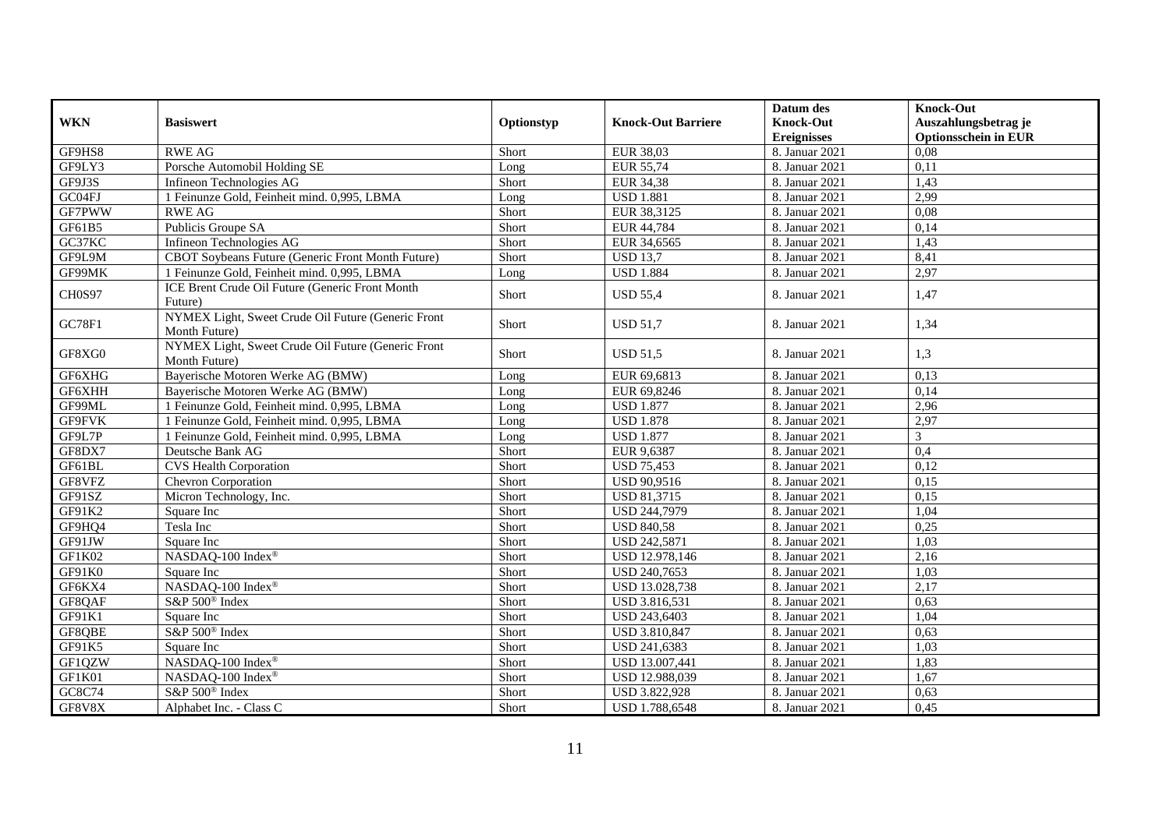| <b>WKN</b>    | <b>Basiswert</b>                                                    |            | <b>Knock-Out Barriere</b> | Datum des<br><b>Knock-Out</b> | <b>Knock-Out</b><br>Auszahlungsbetrag je |
|---------------|---------------------------------------------------------------------|------------|---------------------------|-------------------------------|------------------------------------------|
|               |                                                                     | Optionstyp |                           | <b>Ereignisses</b>            | <b>Optionsschein in EUR</b>              |
| GF9HS8        | <b>RWE AG</b>                                                       | Short      | <b>EUR 38,03</b>          | 8. Januar 2021                | 0,08                                     |
| GF9LY3        | Porsche Automobil Holding SE                                        | Long       | EUR 55,74                 | 8. Januar 2021                | 0,11                                     |
| GF9J3S        | Infineon Technologies AG                                            | Short      | <b>EUR 34,38</b>          | 8. Januar 2021                | 1,43                                     |
| GC04FJ        | 1 Feinunze Gold, Feinheit mind. 0,995, LBMA                         | Long       | <b>USD 1.881</b>          | 8. Januar 2021                | 2,99                                     |
| GF7PWW        | <b>RWE AG</b>                                                       | Short      | EUR 38,3125               | 8. Januar 2021                | 0.08                                     |
| GF61B5        | Publicis Groupe SA                                                  | Short      | EUR 44,784                | 8. Januar 2021                | 0,14                                     |
| GC37KC        | Infineon Technologies AG                                            | Short      | EUR 34,6565               | 8. Januar 2021                | 1,43                                     |
| GF9L9M        | CBOT Soybeans Future (Generic Front Month Future)                   | Short      | <b>USD 13.7</b>           | 8. Januar 2021                | 8,41                                     |
| GF99MK        | 1 Feinunze Gold, Feinheit mind. 0,995, LBMA                         | Long       | <b>USD 1.884</b>          | 8. Januar 2021                | 2,97                                     |
| <b>CH0S97</b> | ICE Brent Crude Oil Future (Generic Front Month<br>Future)          | Short      | <b>USD 55,4</b>           | 8. Januar 2021                | 1,47                                     |
| GC78F1        | NYMEX Light, Sweet Crude Oil Future (Generic Front<br>Month Future) | Short      | <b>USD 51.7</b>           | 8. Januar 2021                | 1,34                                     |
| GF8XG0        | NYMEX Light, Sweet Crude Oil Future (Generic Front<br>Month Future) | Short      | <b>USD 51,5</b>           | 8. Januar 2021                | 1,3                                      |
| GF6XHG        | Bayerische Motoren Werke AG (BMW)                                   | Long       | EUR 69,6813               | 8. Januar 2021                | 0,13                                     |
| GF6XHH        | Bayerische Motoren Werke AG (BMW)                                   | Long       | EUR 69,8246               | 8. Januar 2021                | 0,14                                     |
| GF99ML        | 1 Feinunze Gold, Feinheit mind. 0,995, LBMA                         | Long       | <b>USD 1.877</b>          | 8. Januar 2021                | 2,96                                     |
| GF9FVK        | 1 Feinunze Gold, Feinheit mind. 0,995, LBMA                         | Long       | <b>USD 1.878</b>          | 8. Januar 2021                | 2,97                                     |
| GF9L7P        | 1 Feinunze Gold, Feinheit mind. 0,995, LBMA                         | Long       | <b>USD 1.877</b>          | 8. Januar 2021                | $\mathfrak{Z}$                           |
| GF8DX7        | Deutsche Bank AG                                                    | Short      | EUR 9,6387                | 8. Januar 2021                | 0,4                                      |
| GF61BL        | <b>CVS</b> Health Corporation                                       | Short      | <b>USD 75,453</b>         | 8. Januar 2021                | 0,12                                     |
| GF8VFZ        | <b>Chevron Corporation</b>                                          | Short      | <b>USD 90,9516</b>        | 8. Januar 2021                | 0.15                                     |
| GF91SZ        | Micron Technology, Inc.                                             | Short      | <b>USD 81,3715</b>        | 8. Januar 2021                | 0,15                                     |
| GF91K2        | Square Inc                                                          | Short      | USD 244,7979              | 8. Januar 2021                | 1,04                                     |
| GF9HQ4        | Tesla Inc                                                           | Short      | <b>USD 840,58</b>         | 8. Januar 2021                | 0,25                                     |
| GF91JW        | Square Inc                                                          | Short      | USD 242,5871              | 8. Januar 2021                | 1,03                                     |
| GF1K02        | NASDAQ-100 Index®                                                   | Short      | USD 12.978,146            | 8. Januar 2021                | 2,16                                     |
| GF91K0        | Square Inc                                                          | Short      | USD 240,7653              | 8. Januar 2021                | 1,03                                     |
| GF6KX4        | NASDAQ-100 Index®                                                   | Short      | USD 13.028,738            | 8. Januar 2021                | 2,17                                     |
| GF8QAF        | S&P 500 <sup>®</sup> Index                                          | Short      | USD 3.816,531             | 8. Januar 2021                | 0,63                                     |
| GF91K1        | Square Inc                                                          | Short      | USD 243,6403              | 8. Januar 2021                | 1,04                                     |
| GF8QBE        | $S\&P 500^{\circ}$ Index                                            | Short      | USD 3.810,847             | 8. Januar 2021                | 0,63                                     |
| GF91K5        | Square Inc                                                          | Short      | USD 241,6383              | 8. Januar 2021                | 1,03                                     |
| GF1QZW        | NASDAQ-100 Index®                                                   | Short      | USD 13.007,441            | 8. Januar 2021                | 1,83                                     |
| GF1K01        | NASDAQ-100 Index®                                                   | Short      | USD 12.988,039            | 8. Januar 2021                | 1,67                                     |
| GC8C74        | S&P 500 <sup>®</sup> Index                                          | Short      | USD 3.822,928             | 8. Januar 2021                | 0,63                                     |
| GF8V8X        | Alphabet Inc. - Class C                                             | Short      | USD 1.788,6548            | 8. Januar 2021                | 0,45                                     |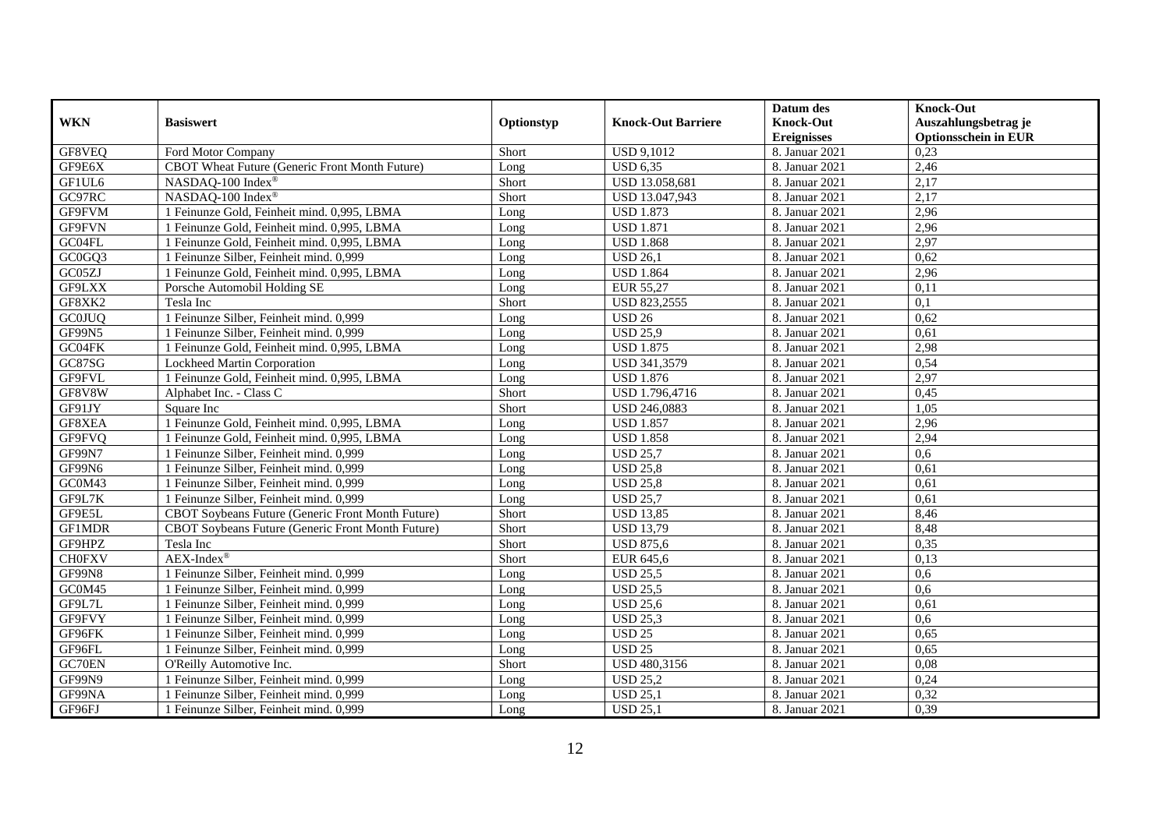| <b>WKN</b>    | <b>Basiswert</b>                                         | Optionstyp | <b>Knock-Out Barriere</b> | Datum des<br><b>Knock-Out</b> | <b>Knock-Out</b><br>Auszahlungsbetrag je |
|---------------|----------------------------------------------------------|------------|---------------------------|-------------------------------|------------------------------------------|
|               |                                                          |            |                           | <b>Ereignisses</b>            | <b>Optionsschein in EUR</b>              |
| GF8VEQ        | Ford Motor Company                                       | Short      | <b>USD 9,1012</b>         | 8. Januar 2021                | 0,23                                     |
| GF9E6X        | CBOT Wheat Future (Generic Front Month Future)           | Long       | <b>USD 6.35</b>           | 8. Januar 2021                | 2,46                                     |
| GF1UL6        | NASDAQ-100 Index®                                        | Short      | USD 13.058,681            | 8. Januar 2021                | 2,17                                     |
| GC97RC        | NASDAQ-100 Index®                                        | Short      | USD 13.047,943            | 8. Januar 2021                | 2,17                                     |
| GF9FVM        | 1 Feinunze Gold, Feinheit mind. 0,995, LBMA              | Long       | <b>USD 1.873</b>          | 8. Januar 2021                | 2,96                                     |
| GF9FVN        | 1 Feinunze Gold, Feinheit mind. 0,995, LBMA              | Long       | <b>USD 1.871</b>          | 8. Januar 2021                | 2,96                                     |
| GC04FL        | 1 Feinunze Gold, Feinheit mind. 0,995, LBMA              | Long       | <b>USD 1.868</b>          | 8. Januar 2021                | 2,97                                     |
| GC0GQ3        | 1 Feinunze Silber, Feinheit mind. 0,999                  | Long       | <b>USD 26,1</b>           | 8. Januar 2021                | 0,62                                     |
| GC05ZJ        | 1 Feinunze Gold, Feinheit mind. 0,995, LBMA              | Long       | <b>USD 1.864</b>          | 8. Januar 2021                | 2,96                                     |
| GF9LXX        | Porsche Automobil Holding SE                             | Long       | <b>EUR 55,27</b>          | 8. Januar 2021                | 0,11                                     |
| GF8XK2        | Tesla Inc                                                | Short      | USD 823,2555              | 8. Januar 2021                | 0,1                                      |
| <b>GC0JUQ</b> | 1 Feinunze Silber, Feinheit mind. 0,999                  | Long       | <b>USD 26</b>             | 8. Januar 2021                | 0,62                                     |
| GF99N5        | 1 Feinunze Silber, Feinheit mind. 0,999                  | Long       | <b>USD 25.9</b>           | 8. Januar 2021                | 0,61                                     |
| GC04FK        | 1 Feinunze Gold, Feinheit mind. 0.995, LBMA              | Long       | <b>USD 1.875</b>          | 8. Januar 2021                | 2,98                                     |
| GC87SG        | Lockheed Martin Corporation                              | Long       | USD 341,3579              | 8. Januar 2021                | 0,54                                     |
| GF9FVL        | 1 Feinunze Gold, Feinheit mind. 0,995, LBMA              | Long       | <b>USD 1.876</b>          | 8. Januar 2021                | 2,97                                     |
| GF8V8W        | Alphabet Inc. - Class C                                  | Short      | USD 1.796,4716            | 8. Januar 2021                | 0,45                                     |
| GF91JY        | Square Inc                                               | Short      | USD 246,0883              | 8. Januar 2021                | 1,05                                     |
| GF8XEA        | 1 Feinunze Gold, Feinheit mind. 0,995, LBMA              | Long       | <b>USD 1.857</b>          | 8. Januar 2021                | 2,96                                     |
| GF9FVQ        | 1 Feinunze Gold, Feinheit mind. 0,995, LBMA              | Long       | <b>USD 1.858</b>          | 8. Januar 2021                | 2,94                                     |
| <b>GF99N7</b> | 1 Feinunze Silber, Feinheit mind. 0,999                  | Long       | <b>USD 25,7</b>           | 8. Januar 2021                | 0.6                                      |
| GF99N6        | 1 Feinunze Silber, Feinheit mind. 0,999                  | Long       | <b>USD 25,8</b>           | 8. Januar 2021                | 0,61                                     |
| GC0M43        | 1 Feinunze Silber, Feinheit mind. 0,999                  | Long       | <b>USD 25,8</b>           | 8. Januar 2021                | 0,61                                     |
| GF9L7K        | 1 Feinunze Silber, Feinheit mind. 0,999                  | Long       | <b>USD 25.7</b>           | 8. Januar 2021                | 0,61                                     |
| GF9E5L        | CBOT Soybeans Future (Generic Front Month Future)        | Short      | <b>USD 13,85</b>          | 8. Januar 2021                | 8,46                                     |
| <b>GF1MDR</b> | <b>CBOT Soybeans Future (Generic Front Month Future)</b> | Short      | <b>USD 13,79</b>          | 8. Januar 2021                | 8,48                                     |
| GF9HPZ        | Tesla Inc                                                | Short      | <b>USD 875,6</b>          | 8. Januar 2021                | 0,35                                     |
| <b>CHOFXV</b> | $AEX-Index^{\circledR}$                                  | Short      | EUR 645,6                 | 8. Januar 2021                | 0,13                                     |
| GF99N8        | 1 Feinunze Silber, Feinheit mind. 0,999                  | Long       | <b>USD 25,5</b>           | 8. Januar 2021                | 0,6                                      |
| GC0M45        | 1 Feinunze Silber, Feinheit mind. 0.999                  | Long       | <b>USD 25.5</b>           | 8. Januar 2021                | 0.6                                      |
| GF9L7L        | 1 Feinunze Silber, Feinheit mind. 0,999                  | Long       | <b>USD 25,6</b>           | 8. Januar 2021                | 0.61                                     |
| GF9FVY        | 1 Feinunze Silber, Feinheit mind. 0,999                  | Long       | <b>USD 25.3</b>           | 8. Januar 2021                | 0.6                                      |
| GF96FK        | 1 Feinunze Silber, Feinheit mind. 0,999                  | Long       | <b>USD 25</b>             | 8. Januar 2021                | 0,65                                     |
| GF96FL        | 1 Feinunze Silber, Feinheit mind. 0,999                  | Long       | <b>USD 25</b>             | 8. Januar 2021                | 0,65                                     |
| GC70EN        | O'Reilly Automotive Inc.                                 | Short      | USD 480,3156              | 8. Januar 2021                | 0,08                                     |
| GF99N9        | 1 Feinunze Silber, Feinheit mind. 0,999                  | Long       | <b>USD 25,2</b>           | 8. Januar 2021                | 0,24                                     |
| GF99NA        | 1 Feinunze Silber, Feinheit mind. 0,999                  | Long       | <b>USD 25,1</b>           | 8. Januar 2021                | 0,32                                     |
| GF96FJ        | 1 Feinunze Silber, Feinheit mind. 0,999                  | Long       | <b>USD 25,1</b>           | 8. Januar 2021                | 0,39                                     |